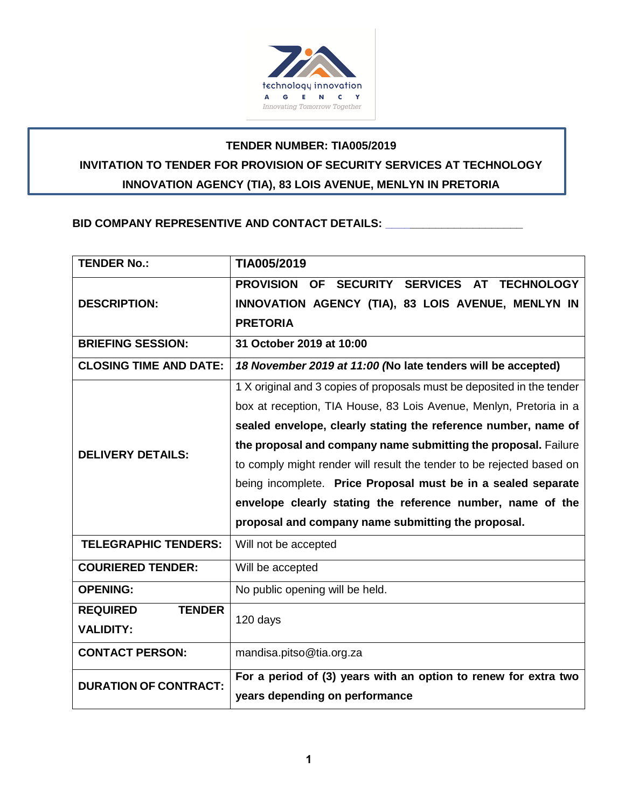

# **TENDER NUMBER: TIA005/2019 INVITATION TO TENDER FOR PROVISION OF SECURITY SERVICES AT TECHNOLOGY INNOVATION AGENCY (TIA), 83 LOIS AVENUE, MENLYN IN PRETORIA**

## BID COMPANY REPRESENTIVE AND CONTACT DETAILS: **\_\_\_\_\_\_\_\_\_\_\_**

| <b>TENDER No.:</b>               | TIA005/2019                                                                          |  |  |  |  |  |
|----------------------------------|--------------------------------------------------------------------------------------|--|--|--|--|--|
|                                  | <b>PROVISION</b><br>SECURITY SERVICES<br><b>AT</b><br><b>TECHNOLOGY</b><br><b>OF</b> |  |  |  |  |  |
| <b>DESCRIPTION:</b>              | INNOVATION AGENCY (TIA), 83 LOIS AVENUE, MENLYN IN                                   |  |  |  |  |  |
|                                  | <b>PRETORIA</b>                                                                      |  |  |  |  |  |
| <b>BRIEFING SESSION:</b>         | 31 October 2019 at 10:00                                                             |  |  |  |  |  |
| <b>CLOSING TIME AND DATE:</b>    | 18 November 2019 at 11:00 (No late tenders will be accepted)                         |  |  |  |  |  |
|                                  | 1 X original and 3 copies of proposals must be deposited in the tender               |  |  |  |  |  |
|                                  | box at reception, TIA House, 83 Lois Avenue, Menlyn, Pretoria in a                   |  |  |  |  |  |
|                                  | sealed envelope, clearly stating the reference number, name of                       |  |  |  |  |  |
| <b>DELIVERY DETAILS:</b>         | the proposal and company name submitting the proposal. Failure                       |  |  |  |  |  |
|                                  | to comply might render will result the tender to be rejected based on                |  |  |  |  |  |
|                                  | being incomplete. Price Proposal must be in a sealed separate                        |  |  |  |  |  |
|                                  | envelope clearly stating the reference number, name of the                           |  |  |  |  |  |
|                                  | proposal and company name submitting the proposal.                                   |  |  |  |  |  |
| <b>TELEGRAPHIC TENDERS:</b>      | Will not be accepted                                                                 |  |  |  |  |  |
| <b>COURIERED TENDER:</b>         | Will be accepted                                                                     |  |  |  |  |  |
| <b>OPENING:</b>                  | No public opening will be held.                                                      |  |  |  |  |  |
| <b>REQUIRED</b><br><b>TENDER</b> | 120 days                                                                             |  |  |  |  |  |
| <b>VALIDITY:</b>                 |                                                                                      |  |  |  |  |  |
| <b>CONTACT PERSON:</b>           | mandisa.pitso@tia.org.za                                                             |  |  |  |  |  |
| <b>DURATION OF CONTRACT:</b>     | For a period of (3) years with an option to renew for extra two                      |  |  |  |  |  |
|                                  | years depending on performance                                                       |  |  |  |  |  |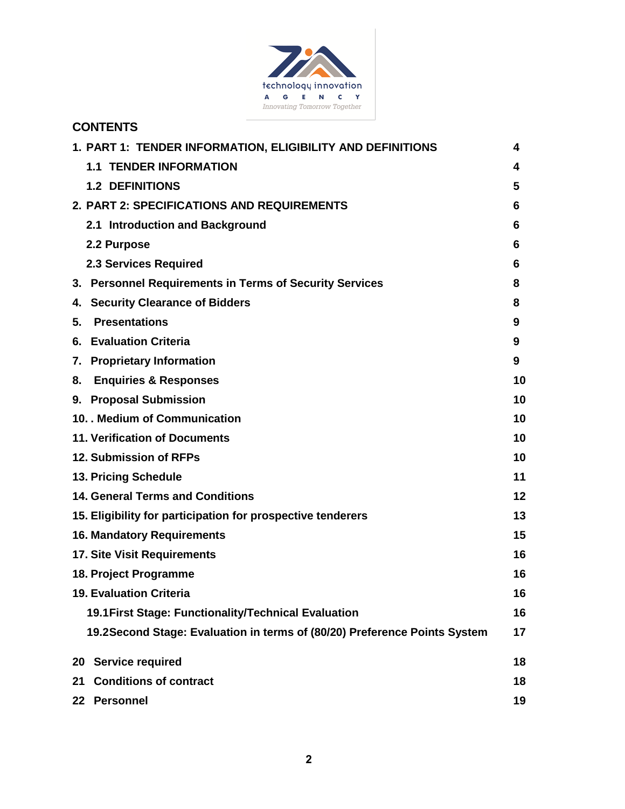

# **CONTENTS**

| 1. PART 1: TENDER INFORMATION, ELIGIBILITY AND DEFINITIONS                | 4  |
|---------------------------------------------------------------------------|----|
| <b>1.1 TENDER INFORMATION</b>                                             | 4  |
| <b>1.2 DEFINITIONS</b>                                                    | 5  |
| 2. PART 2: SPECIFICATIONS AND REQUIREMENTS                                | 6  |
| 2.1 Introduction and Background                                           | 6  |
| 2.2 Purpose                                                               | 6  |
| <b>2.3 Services Required</b>                                              | 6  |
| 3. Personnel Requirements in Terms of Security Services                   | 8  |
| 4. Security Clearance of Bidders                                          | 8  |
| <b>Presentations</b><br>5.                                                | 9  |
| 6. Evaluation Criteria                                                    | 9  |
| 7. Proprietary Information                                                | 9  |
| <b>Enquiries &amp; Responses</b><br>8.                                    | 10 |
| 9. Proposal Submission                                                    | 10 |
| 10. . Medium of Communication                                             | 10 |
| <b>11. Verification of Documents</b>                                      | 10 |
| 12. Submission of RFPs                                                    | 10 |
| 13. Pricing Schedule                                                      | 11 |
| <b>14. General Terms and Conditions</b>                                   | 12 |
| 15. Eligibility for participation for prospective tenderers               | 13 |
| <b>16. Mandatory Requirements</b>                                         | 15 |
| <b>17. Site Visit Requirements</b>                                        | 16 |
| 18. Project Programme                                                     | 16 |
| <b>19. Evaluation Criteria</b>                                            | 16 |
| 19.1 First Stage: Functionality/Technical Evaluation                      | 16 |
| 19.2Second Stage: Evaluation in terms of (80/20) Preference Points System | 17 |
| 20 Service required                                                       | 18 |
| <b>Conditions of contract</b><br>21                                       | 18 |
| <b>Personnel</b><br>22 <sub>2</sub>                                       | 19 |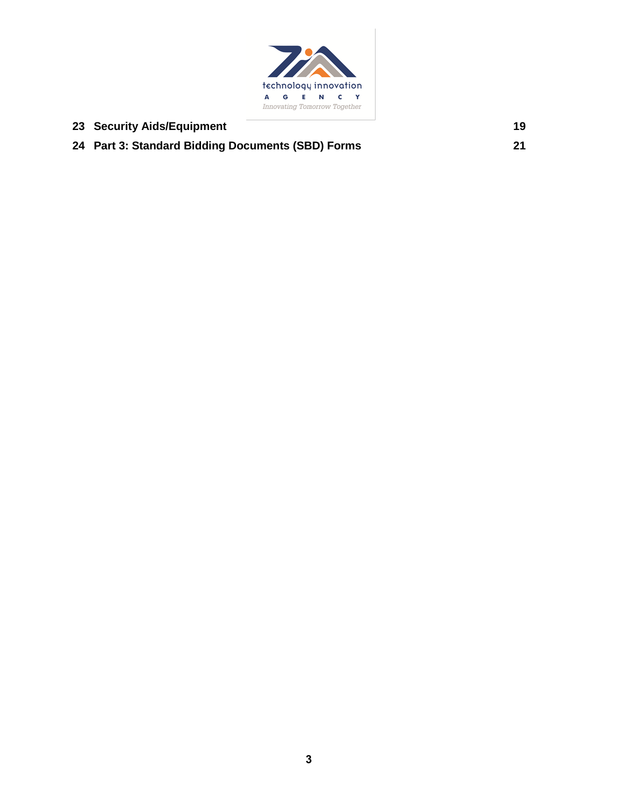

| 23 Security Aids/Equipment                        | 19 |
|---------------------------------------------------|----|
| 24 Part 3: Standard Bidding Documents (SBD) Forms | 21 |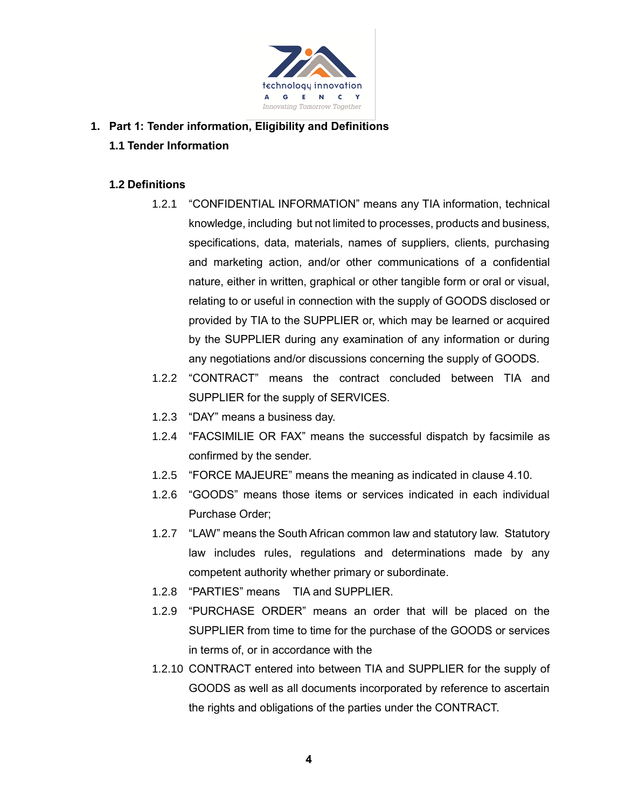

## **1. Part 1: Tender information, Eligibility and Definitions 1.1 Tender Information**

## **1.2 Definitions**

- 1.2.1 "CONFIDENTIAL INFORMATION" means any TIA information, technical knowledge, including but not limited to processes, products and business, specifications, data, materials, names of suppliers, clients, purchasing and marketing action, and/or other communications of a confidential nature, either in written, graphical or other tangible form or oral or visual, relating to or useful in connection with the supply of GOODS disclosed or provided by TIA to the SUPPLIER or, which may be learned or acquired by the SUPPLIER during any examination of any information or during any negotiations and/or discussions concerning the supply of GOODS.
- 1.2.2 "CONTRACT" means the contract concluded between TIA and SUPPLIER for the supply of SERVICES.
- 1.2.3 "DAY" means a business day.
- 1.2.4 "FACSIMILIE OR FAX" means the successful dispatch by facsimile as confirmed by the sender.
- 1.2.5 "FORCE MAJEURE" means the meaning as indicated in clause 4.10.
- 1.2.6 "GOODS" means those items or services indicated in each individual Purchase Order;
- 1.2.7 "LAW" means the South African common law and statutory law. Statutory law includes rules, regulations and determinations made by any competent authority whether primary or subordinate.
- 1.2.8 "PARTIES" means TIA and SUPPLIER.
- 1.2.9 "PURCHASE ORDER" means an order that will be placed on the SUPPLIER from time to time for the purchase of the GOODS or services in terms of, or in accordance with the
- 1.2.10 CONTRACT entered into between TIA and SUPPLIER for the supply of GOODS as well as all documents incorporated by reference to ascertain the rights and obligations of the parties under the CONTRACT.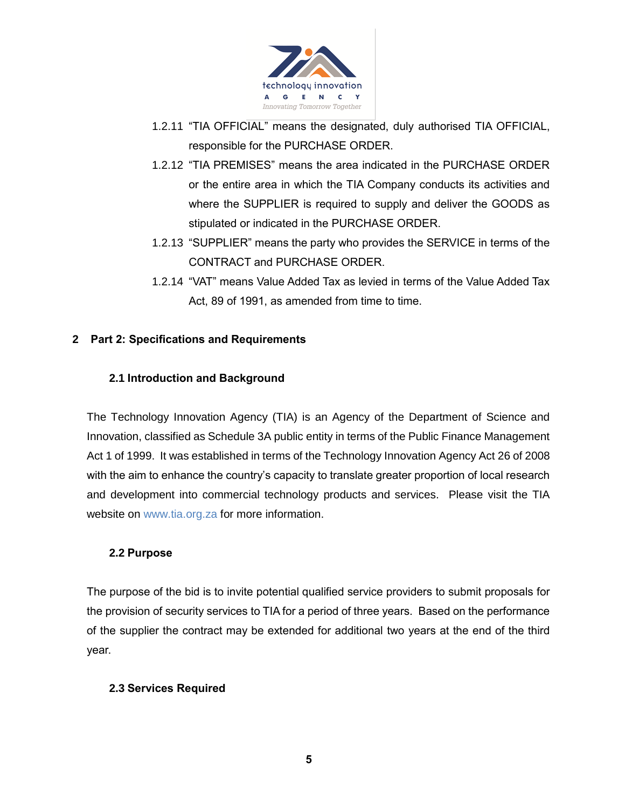

- 1.2.11 "TIA OFFICIAL" means the designated, duly authorised TIA OFFICIAL, responsible for the PURCHASE ORDER.
- 1.2.12 "TIA PREMISES" means the area indicated in the PURCHASE ORDER or the entire area in which the TIA Company conducts its activities and where the SUPPLIER is required to supply and deliver the GOODS as stipulated or indicated in the PURCHASE ORDER.
- 1.2.13 "SUPPLIER" means the party who provides the SERVICE in terms of the CONTRACT and PURCHASE ORDER.
- 1.2.14 "VAT" means Value Added Tax as levied in terms of the Value Added Tax Act, 89 of 1991, as amended from time to time.

## **2 Part 2: Specifications and Requirements**

## **2.1 Introduction and Background**

The Technology Innovation Agency (TIA) is an Agency of the Department of Science and Innovation, classified as Schedule 3A public entity in terms of the Public Finance Management Act 1 of 1999. It was established in terms of the Technology Innovation Agency Act 26 of 2008 with the aim to enhance the country's capacity to translate greater proportion of local research and development into commercial technology products and services. Please visit the TIA website on www.tia.org.za for more information.

#### **2.2 Purpose**

The purpose of the bid is to invite potential qualified service providers to submit proposals for the provision of security services to TIA for a period of three years. Based on the performance of the supplier the contract may be extended for additional two years at the end of the third year.

#### **2.3 Services Required**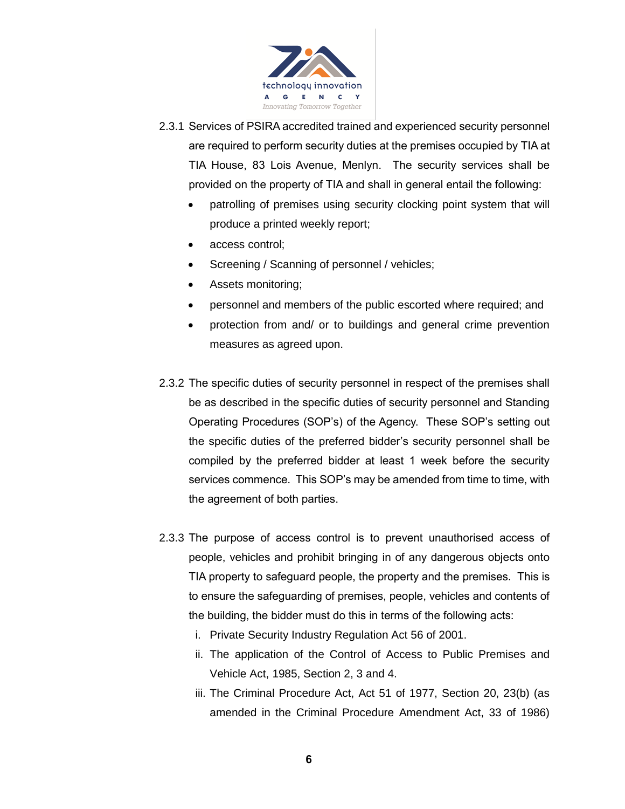

- 2.3.1 Services of PSIRA accredited trained and experienced security personnel are required to perform security duties at the premises occupied by TIA at TIA House, 83 Lois Avenue, Menlyn. The security services shall be provided on the property of TIA and shall in general entail the following:
	- patrolling of premises using security clocking point system that will produce a printed weekly report;
	- access control;
	- Screening / Scanning of personnel / vehicles;
	- Assets monitoring;
	- personnel and members of the public escorted where required; and
	- protection from and/ or to buildings and general crime prevention measures as agreed upon.
- 2.3.2 The specific duties of security personnel in respect of the premises shall be as described in the specific duties of security personnel and Standing Operating Procedures (SOP's) of the Agency. These SOP's setting out the specific duties of the preferred bidder's security personnel shall be compiled by the preferred bidder at least 1 week before the security services commence. This SOP's may be amended from time to time, with the agreement of both parties.
- 2.3.3 The purpose of access control is to prevent unauthorised access of people, vehicles and prohibit bringing in of any dangerous objects onto TIA property to safeguard people, the property and the premises. This is to ensure the safeguarding of premises, people, vehicles and contents of the building, the bidder must do this in terms of the following acts:
	- i. Private Security Industry Regulation Act 56 of 2001.
	- ii. The application of the Control of Access to Public Premises and Vehicle Act, 1985, Section 2, 3 and 4.
	- iii. The Criminal Procedure Act, Act 51 of 1977, Section 20, 23(b) (as amended in the Criminal Procedure Amendment Act, 33 of 1986)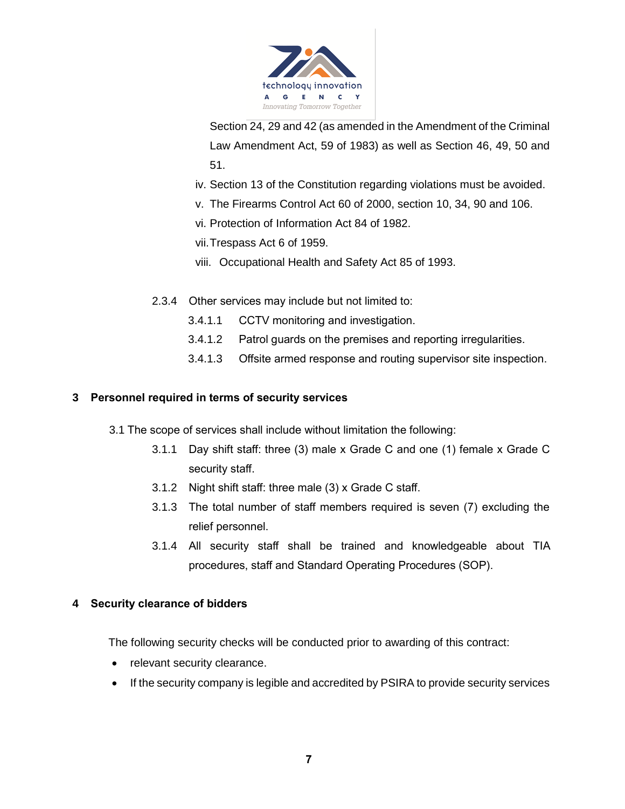

Section 24, 29 and 42 (as amended in the Amendment of the Criminal Law Amendment Act, 59 of 1983) as well as Section 46, 49, 50 and 51.

- iv. Section 13 of the Constitution regarding violations must be avoided.
- v. The Firearms Control Act 60 of 2000, section 10, 34, 90 and 106.
- vi. Protection of Information Act 84 of 1982.

vii.Trespass Act 6 of 1959.

- viii. Occupational Health and Safety Act 85 of 1993.
- 2.3.4 Other services may include but not limited to:
	- 3.4.1.1 CCTV monitoring and investigation.
	- 3.4.1.2 Patrol guards on the premises and reporting irregularities.
	- 3.4.1.3 Offsite armed response and routing supervisor site inspection.

#### **3 Personnel required in terms of security services**

- 3.1 The scope of services shall include without limitation the following:
	- 3.1.1 Day shift staff: three (3) male x Grade C and one (1) female x Grade C security staff.
	- 3.1.2 Night shift staff: three male (3) x Grade C staff.
	- 3.1.3 The total number of staff members required is seven (7) excluding the relief personnel.
	- 3.1.4 All security staff shall be trained and knowledgeable about TIA procedures, staff and Standard Operating Procedures (SOP).

#### **4 Security clearance of bidders**

The following security checks will be conducted prior to awarding of this contract:

- relevant security clearance.
- If the security company is legible and accredited by PSIRA to provide security services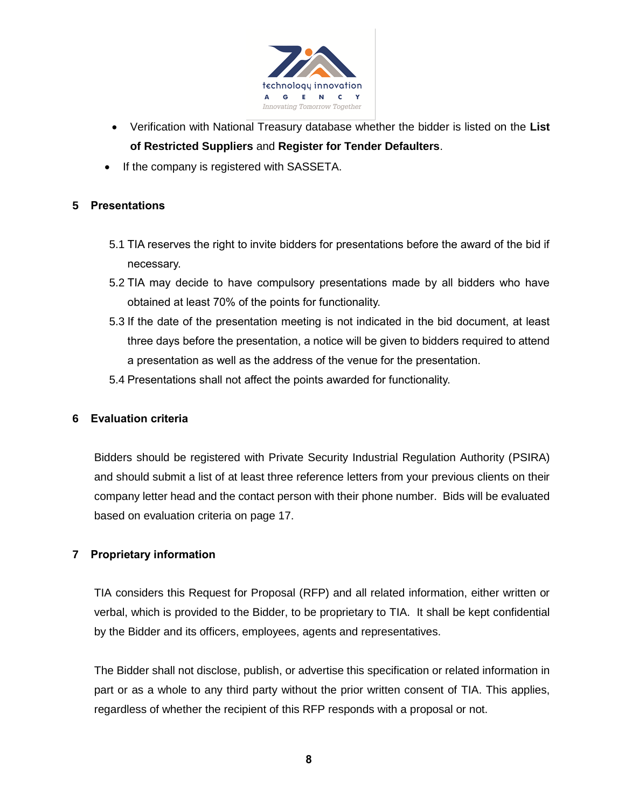

- Verification with National Treasury database whether the bidder is listed on the **List of Restricted Suppliers** and **Register for Tender Defaulters**.
- If the company is registered with SASSETA.

## **5 Presentations**

- 5.1 TIA reserves the right to invite bidders for presentations before the award of the bid if necessary.
- 5.2 TIA may decide to have compulsory presentations made by all bidders who have obtained at least 70% of the points for functionality.
- 5.3 If the date of the presentation meeting is not indicated in the bid document, at least three days before the presentation, a notice will be given to bidders required to attend a presentation as well as the address of the venue for the presentation.
- 5.4 Presentations shall not affect the points awarded for functionality.

## **6 Evaluation criteria**

Bidders should be registered with Private Security Industrial Regulation Authority (PSIRA) and should submit a list of at least three reference letters from your previous clients on their company letter head and the contact person with their phone number. Bids will be evaluated based on evaluation criteria on page 17.

## **7 Proprietary information**

TIA considers this Request for Proposal (RFP) and all related information, either written or verbal, which is provided to the Bidder, to be proprietary to TIA. It shall be kept confidential by the Bidder and its officers, employees, agents and representatives.

The Bidder shall not disclose, publish, or advertise this specification or related information in part or as a whole to any third party without the prior written consent of TIA. This applies, regardless of whether the recipient of this RFP responds with a proposal or not.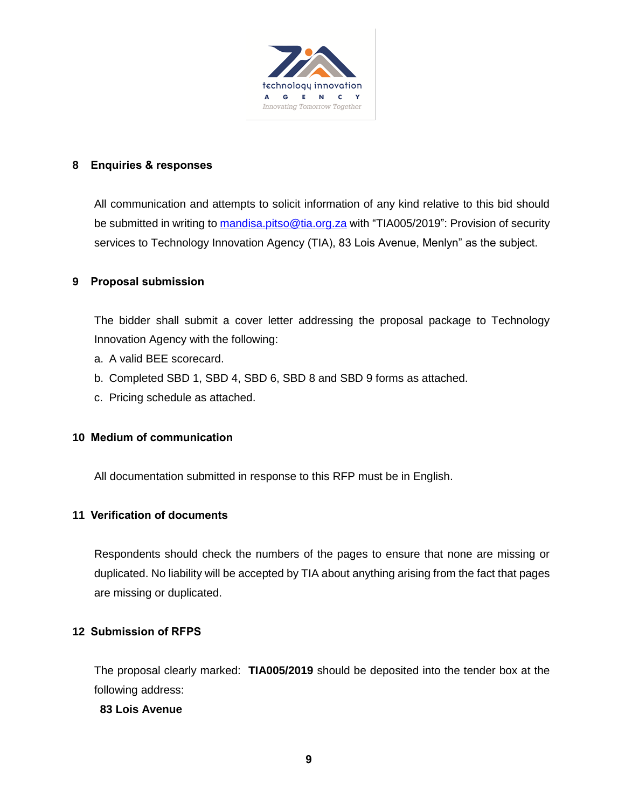

#### **8 Enquiries & responses**

All communication and attempts to solicit information of any kind relative to this bid should be submitted in writing to [mandisa.pitso@tia.org.za](mailto:mandisa.pitso@tia.org.za) with "TIA005/2019": Provision of security services to Technology Innovation Agency (TIA), 83 Lois Avenue, Menlyn" as the subject.

## **9 Proposal submission**

The bidder shall submit a cover letter addressing the proposal package to Technology Innovation Agency with the following:

- a. A valid BEE scorecard.
- b. Completed SBD 1, SBD 4, SBD 6, SBD 8 and SBD 9 forms as attached.
- c. Pricing schedule as attached.

#### **10 Medium of communication**

All documentation submitted in response to this RFP must be in English.

#### **11 Verification of documents**

Respondents should check the numbers of the pages to ensure that none are missing or duplicated. No liability will be accepted by TIA about anything arising from the fact that pages are missing or duplicated.

#### **12 Submission of RFPS**

The proposal clearly marked: **TIA005/2019** should be deposited into the tender box at the following address:

#### **83 Lois Avenue**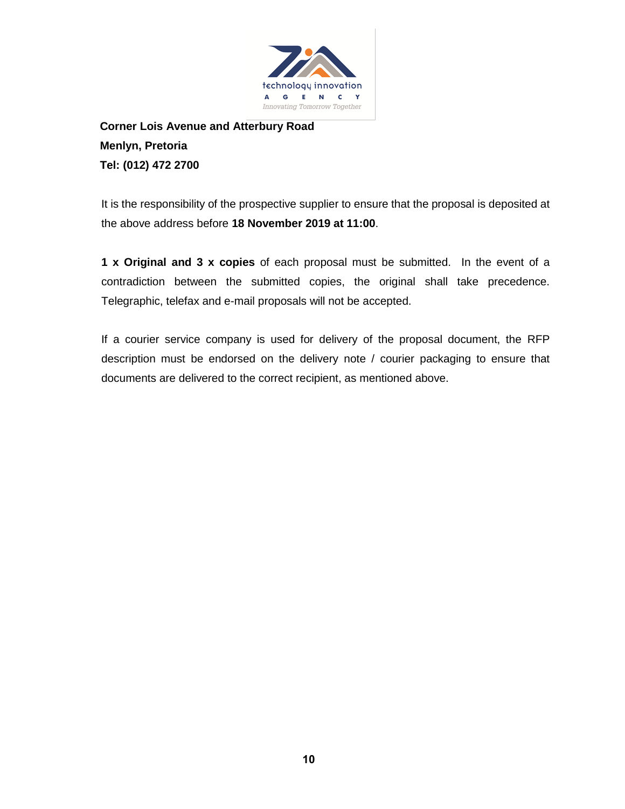

**Corner Lois Avenue and Atterbury Road Menlyn, Pretoria Tel: (012) 472 2700**

It is the responsibility of the prospective supplier to ensure that the proposal is deposited at the above address before **18 November 2019 at 11:00**.

**1 x Original and 3 x copies** of each proposal must be submitted. In the event of a contradiction between the submitted copies, the original shall take precedence. Telegraphic, telefax and e-mail proposals will not be accepted.

If a courier service company is used for delivery of the proposal document, the RFP description must be endorsed on the delivery note / courier packaging to ensure that documents are delivered to the correct recipient, as mentioned above.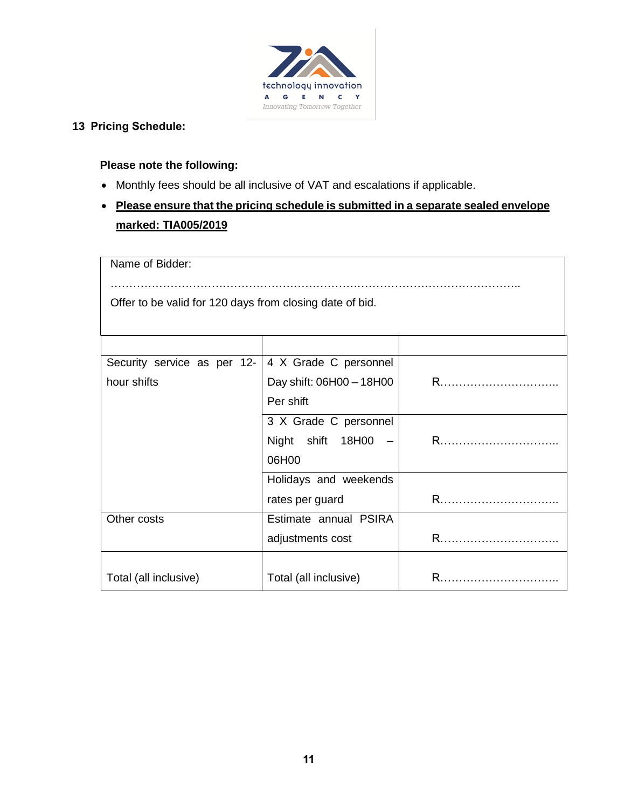

## **13 Pricing Schedule:**

## **Please note the following:**

- Monthly fees should be all inclusive of VAT and escalations if applicable.
- **Please ensure that the pricing schedule is submitted in a separate sealed envelope marked: TIA005/2019**

| Name of Bidder:                                          |                          |   |  |  |  |  |  |
|----------------------------------------------------------|--------------------------|---|--|--|--|--|--|
| Offer to be valid for 120 days from closing date of bid. |                          |   |  |  |  |  |  |
|                                                          |                          |   |  |  |  |  |  |
|                                                          |                          |   |  |  |  |  |  |
| Security service as per 12-                              | 4 X Grade C personnel    |   |  |  |  |  |  |
| hour shifts                                              | Day shift: 06H00 - 18H00 | R |  |  |  |  |  |
|                                                          |                          |   |  |  |  |  |  |
|                                                          | 3 X Grade C personnel    |   |  |  |  |  |  |
| Night shift 18H00 -                                      |                          |   |  |  |  |  |  |
|                                                          | 06H00                    |   |  |  |  |  |  |
|                                                          | Holidays and weekends    |   |  |  |  |  |  |
|                                                          | rates per guard          |   |  |  |  |  |  |
| Other costs                                              | Estimate annual PSIRA    |   |  |  |  |  |  |
|                                                          | adjustments cost         | R |  |  |  |  |  |
|                                                          |                          |   |  |  |  |  |  |
| Total (all inclusive)                                    | Total (all inclusive)    | R |  |  |  |  |  |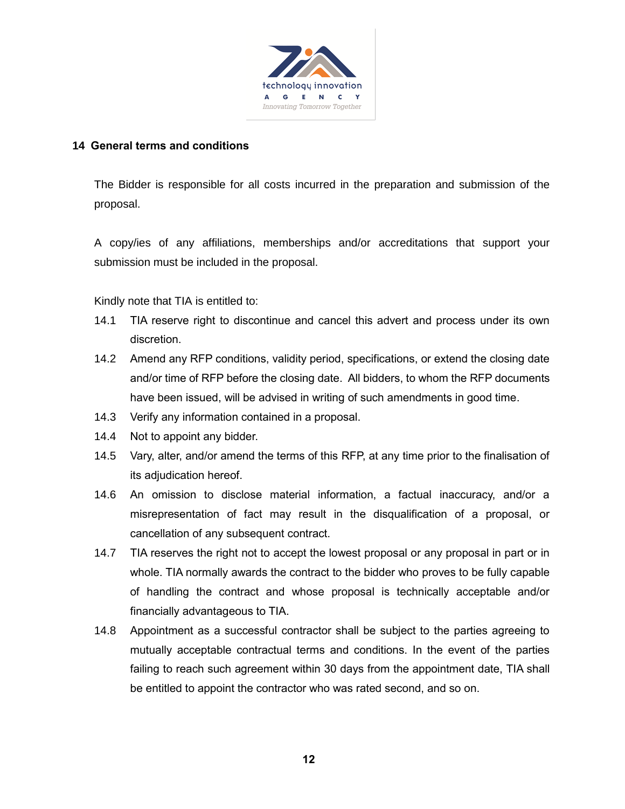

#### **14 General terms and conditions**

The Bidder is responsible for all costs incurred in the preparation and submission of the proposal.

A copy/ies of any affiliations, memberships and/or accreditations that support your submission must be included in the proposal.

Kindly note that TIA is entitled to:

- 14.1 TIA reserve right to discontinue and cancel this advert and process under its own discretion.
- 14.2 Amend any RFP conditions, validity period, specifications, or extend the closing date and/or time of RFP before the closing date. All bidders, to whom the RFP documents have been issued, will be advised in writing of such amendments in good time.
- 14.3 Verify any information contained in a proposal.
- 14.4 Not to appoint any bidder.
- 14.5 Vary, alter, and/or amend the terms of this RFP, at any time prior to the finalisation of its adjudication hereof.
- 14.6 An omission to disclose material information, a factual inaccuracy, and/or a misrepresentation of fact may result in the disqualification of a proposal, or cancellation of any subsequent contract.
- 14.7 TIA reserves the right not to accept the lowest proposal or any proposal in part or in whole. TIA normally awards the contract to the bidder who proves to be fully capable of handling the contract and whose proposal is technically acceptable and/or financially advantageous to TIA.
- 14.8 Appointment as a successful contractor shall be subject to the parties agreeing to mutually acceptable contractual terms and conditions. In the event of the parties failing to reach such agreement within 30 days from the appointment date, TIA shall be entitled to appoint the contractor who was rated second, and so on.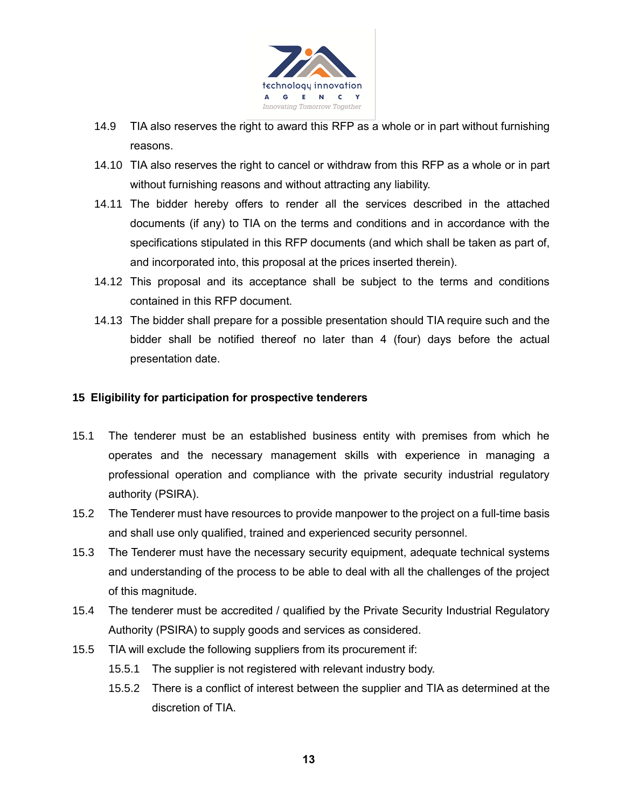

- 14.9 TIA also reserves the right to award this RFP as a whole or in part without furnishing reasons.
- 14.10 TIA also reserves the right to cancel or withdraw from this RFP as a whole or in part without furnishing reasons and without attracting any liability.
- 14.11 The bidder hereby offers to render all the services described in the attached documents (if any) to TIA on the terms and conditions and in accordance with the specifications stipulated in this RFP documents (and which shall be taken as part of, and incorporated into, this proposal at the prices inserted therein).
- 14.12 This proposal and its acceptance shall be subject to the terms and conditions contained in this RFP document.
- 14.13 The bidder shall prepare for a possible presentation should TIA require such and the bidder shall be notified thereof no later than 4 (four) days before the actual presentation date.

#### **15 Eligibility for participation for prospective tenderers**

- 15.1 The tenderer must be an established business entity with premises from which he operates and the necessary management skills with experience in managing a professional operation and compliance with the private security industrial regulatory authority (PSIRA).
- 15.2 The Tenderer must have resources to provide manpower to the project on a full-time basis and shall use only qualified, trained and experienced security personnel.
- 15.3 The Tenderer must have the necessary security equipment, adequate technical systems and understanding of the process to be able to deal with all the challenges of the project of this magnitude.
- 15.4 The tenderer must be accredited / qualified by the Private Security Industrial Regulatory Authority (PSIRA) to supply goods and services as considered.
- 15.5 TIA will exclude the following suppliers from its procurement if:
	- 15.5.1 The supplier is not registered with relevant industry body.
	- 15.5.2 There is a conflict of interest between the supplier and TIA as determined at the discretion of TIA.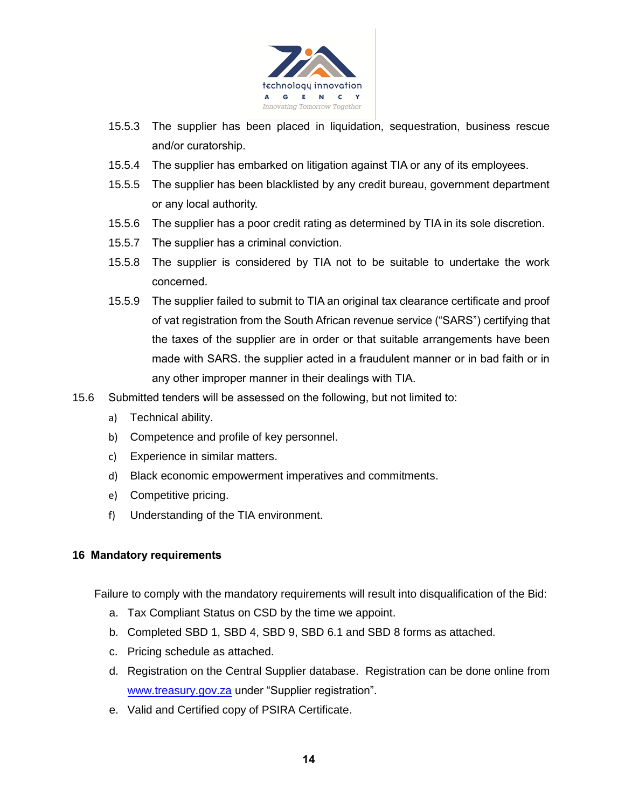

- 15.5.3 The supplier has been placed in liquidation, sequestration, business rescue and/or curatorship.
- 15.5.4 The supplier has embarked on litigation against TIA or any of its employees.
- 15.5.5 The supplier has been blacklisted by any credit bureau, government department or any local authority.
- 15.5.6 The supplier has a poor credit rating as determined by TIA in its sole discretion.
- 15.5.7 The supplier has a criminal conviction.
- 15.5.8 The supplier is considered by TIA not to be suitable to undertake the work concerned.
- 15.5.9 The supplier failed to submit to TIA an original tax clearance certificate and proof of vat registration from the South African revenue service ("SARS") certifying that the taxes of the supplier are in order or that suitable arrangements have been made with SARS. the supplier acted in a fraudulent manner or in bad faith or in any other improper manner in their dealings with TIA.
- 15.6 Submitted tenders will be assessed on the following, but not limited to:
	- a) Technical ability.
	- b) Competence and profile of key personnel.
	- c) Experience in similar matters.
	- d) Black economic empowerment imperatives and commitments.
	- e) Competitive pricing.
	- f) Understanding of the TIA environment.

#### **16 Mandatory requirements**

Failure to comply with the mandatory requirements will result into disqualification of the Bid:

- a. Tax Compliant Status on CSD by the time we appoint.
- b. Completed SBD 1, SBD 4, SBD 9, SBD 6.1 and SBD 8 forms as attached.
- c. Pricing schedule as attached.
- d. Registration on the Central Supplier database. Registration can be done online from [www.treasury.gov.za](http://www.treasury.gov.za/) under "Supplier registration".
- e. Valid and Certified copy of PSIRA Certificate.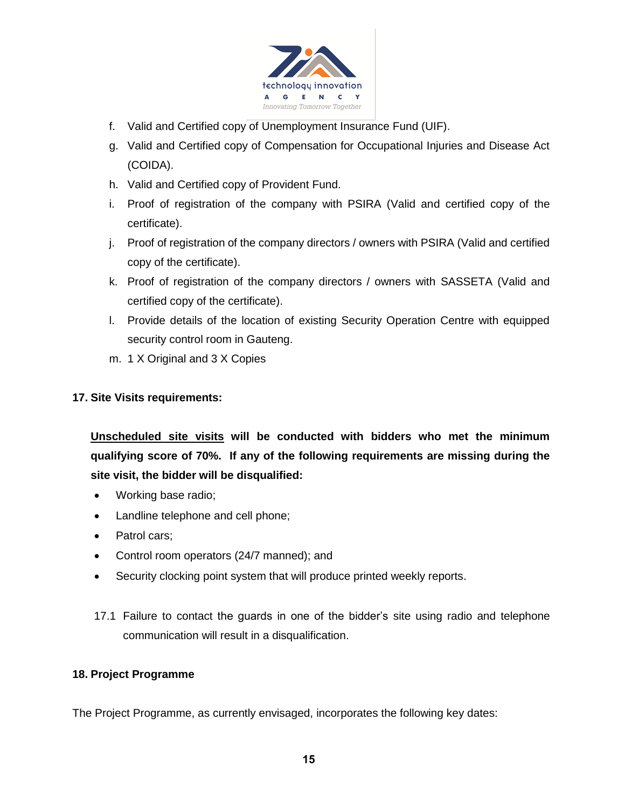

- f. Valid and Certified copy of Unemployment Insurance Fund (UIF).
- g. Valid and Certified copy of Compensation for Occupational Injuries and Disease Act (COIDA).
- h. Valid and Certified copy of Provident Fund.
- i. Proof of registration of the company with PSIRA (Valid and certified copy of the certificate).
- j. Proof of registration of the company directors / owners with PSIRA (Valid and certified copy of the certificate).
- k. Proof of registration of the company directors / owners with SASSETA (Valid and certified copy of the certificate).
- l. Provide details of the location of existing Security Operation Centre with equipped security control room in Gauteng.
- m. 1 X Original and 3 X Copies

#### **17. Site Visits requirements:**

**Unscheduled site visits will be conducted with bidders who met the minimum qualifying score of 70%. If any of the following requirements are missing during the site visit, the bidder will be disqualified:**

- Working base radio;
- Landline telephone and cell phone;
- Patrol cars:
- Control room operators (24/7 manned); and
- Security clocking point system that will produce printed weekly reports.
- 17.1 Failure to contact the guards in one of the bidder's site using radio and telephone communication will result in a disqualification.

#### **18. Project Programme**

The Project Programme, as currently envisaged, incorporates the following key dates: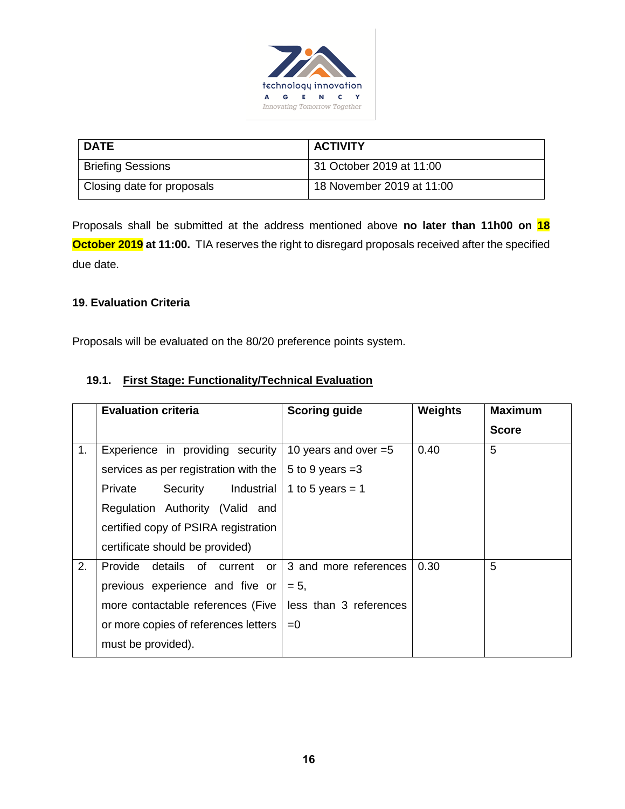

| <b>DATE</b>                | <b>ACTIVITY</b>           |
|----------------------------|---------------------------|
| <b>Briefing Sessions</b>   | 31 October 2019 at 11:00  |
| Closing date for proposals | 18 November 2019 at 11:00 |

Proposals shall be submitted at the address mentioned above **no later than 11h00 on 18 October 2019 at 11:00.** TIA reserves the right to disregard proposals received after the specified due date.

## **19. Evaluation Criteria**

Proposals will be evaluated on the 80/20 preference points system.

## **19.1. First Stage: Functionality/Technical Evaluation**

|                | <b>Evaluation criteria</b>            | <b>Scoring guide</b>   | <b>Weights</b> | <b>Maximum</b> |
|----------------|---------------------------------------|------------------------|----------------|----------------|
|                |                                       |                        |                | <b>Score</b>   |
| 1 <sub>1</sub> | Experience in providing security      | 10 years and over $=5$ | 0.40           | 5              |
|                | services as per registration with the | 5 to 9 years $=3$      |                |                |
|                | Industrial<br>Private<br>Security     | 1 to 5 years = $1$     |                |                |
|                | Regulation Authority (Valid and       |                        |                |                |
|                | certified copy of PSIRA registration  |                        |                |                |
|                | certificate should be provided)       |                        |                |                |
| 2.             | Provide<br>details of current or      | 3 and more references  | 0.30           | 5              |
|                | previous experience and five or       | $= 5.$                 |                |                |
|                | more contactable references (Five     | less than 3 references |                |                |
|                | or more copies of references letters  | $= 0$                  |                |                |
|                | must be provided).                    |                        |                |                |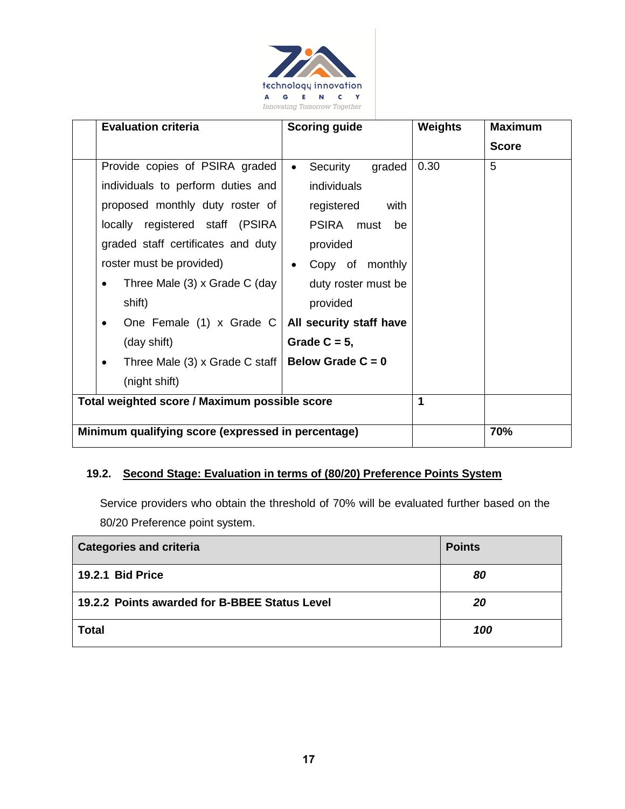

| <b>Evaluation criteria</b>                         | <b>Scoring guide</b>    | Weights | <b>Maximum</b> |
|----------------------------------------------------|-------------------------|---------|----------------|
|                                                    |                         |         | <b>Score</b>   |
| Provide copies of PSIRA graded                     | Security<br>graded      | 0.30    | 5              |
| individuals to perform duties and                  | individuals             |         |                |
| proposed monthly duty roster of                    | registered<br>with      |         |                |
| locally registered staff (PSIRA                    | PSIRA must<br>be        |         |                |
| graded staff certificates and duty                 | provided                |         |                |
| roster must be provided)                           | Copy of monthly         |         |                |
| Three Male (3) x Grade C (day                      | duty roster must be     |         |                |
| shift)                                             | provided                |         |                |
| One Female (1) x Grade C                           | All security staff have |         |                |
| (day shift)                                        | Grade $C = 5$ ,         |         |                |
| Three Male (3) x Grade C staff                     | Below Grade $C = 0$     |         |                |
| (night shift)                                      |                         |         |                |
| Total weighted score / Maximum possible score      |                         | 1       |                |
| Minimum qualifying score (expressed in percentage) |                         |         | 70%            |

## **19.2. Second Stage: Evaluation in terms of (80/20) Preference Points System**

Service providers who obtain the threshold of 70% will be evaluated further based on the 80/20 Preference point system.

| <b>Categories and criteria</b>                | <b>Points</b> |
|-----------------------------------------------|---------------|
| <b>19.2.1 Bid Price</b>                       | 80            |
| 19.2.2 Points awarded for B-BBEE Status Level | 20            |
| <b>Total</b>                                  | 100           |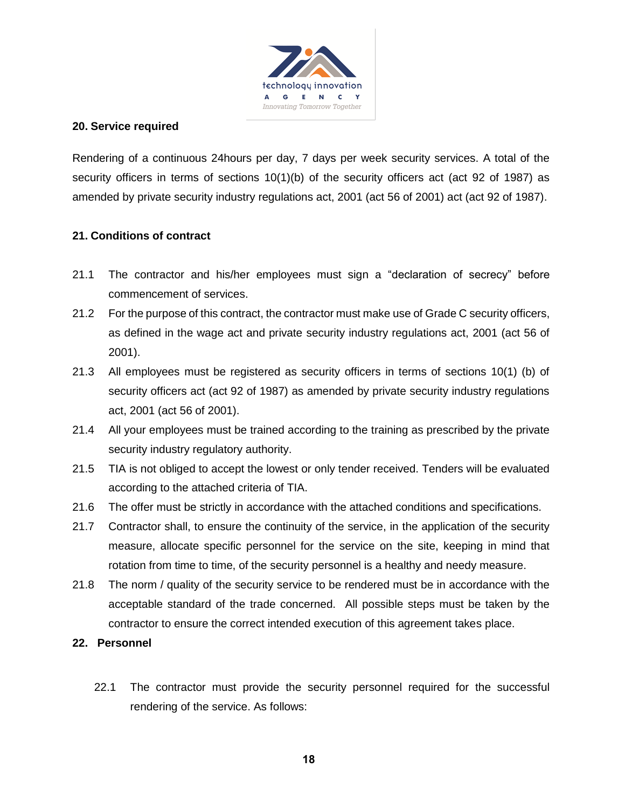

#### **20. Service required**

Rendering of a continuous 24hours per day, 7 days per week security services. A total of the security officers in terms of sections 10(1)(b) of the security officers act (act 92 of 1987) as amended by private security industry regulations act, 2001 (act 56 of 2001) act (act 92 of 1987).

## **21. Conditions of contract**

- 21.1 The contractor and his/her employees must sign a "declaration of secrecy" before commencement of services.
- 21.2 For the purpose of this contract, the contractor must make use of Grade C security officers, as defined in the wage act and private security industry regulations act, 2001 (act 56 of 2001).
- 21.3 All employees must be registered as security officers in terms of sections 10(1) (b) of security officers act (act 92 of 1987) as amended by private security industry regulations act, 2001 (act 56 of 2001).
- 21.4 All your employees must be trained according to the training as prescribed by the private security industry regulatory authority.
- 21.5 TIA is not obliged to accept the lowest or only tender received. Tenders will be evaluated according to the attached criteria of TIA.
- 21.6 The offer must be strictly in accordance with the attached conditions and specifications.
- 21.7 Contractor shall, to ensure the continuity of the service, in the application of the security measure, allocate specific personnel for the service on the site, keeping in mind that rotation from time to time, of the security personnel is a healthy and needy measure.
- 21.8 The norm / quality of the security service to be rendered must be in accordance with the acceptable standard of the trade concerned. All possible steps must be taken by the contractor to ensure the correct intended execution of this agreement takes place.
- **22. Personnel** 
	- 22.1 The contractor must provide the security personnel required for the successful rendering of the service. As follows: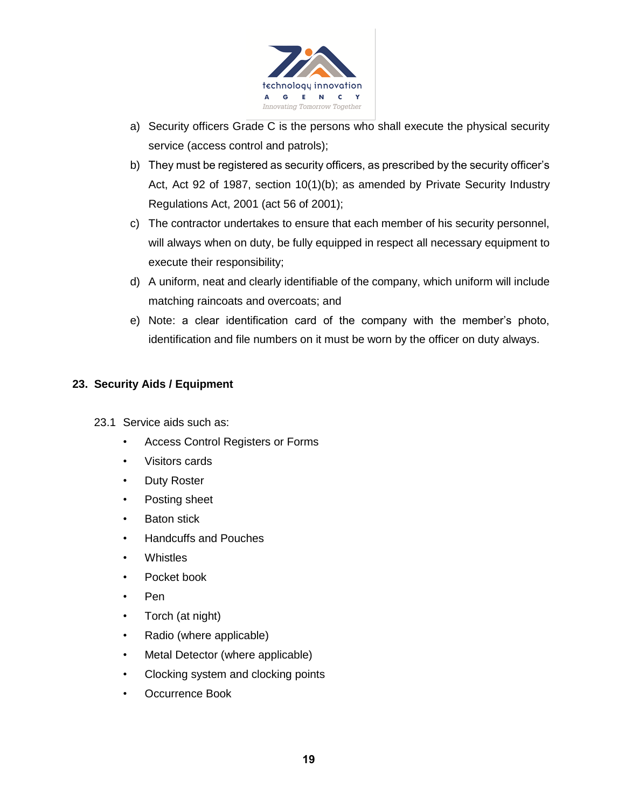

- a) Security officers Grade C is the persons who shall execute the physical security service (access control and patrols);
- b) They must be registered as security officers, as prescribed by the security officer's Act, Act 92 of 1987, section 10(1)(b); as amended by Private Security Industry Regulations Act, 2001 (act 56 of 2001);
- c) The contractor undertakes to ensure that each member of his security personnel, will always when on duty, be fully equipped in respect all necessary equipment to execute their responsibility;
- d) A uniform, neat and clearly identifiable of the company, which uniform will include matching raincoats and overcoats; and
- e) Note: a clear identification card of the company with the member's photo, identification and file numbers on it must be worn by the officer on duty always.

## **23. Security Aids / Equipment**

- 23.1 Service aids such as:
	- Access Control Registers or Forms
	- Visitors cards
	- Duty Roster
	- Posting sheet
	- **Baton stick**
	- Handcuffs and Pouches
	- Whistles
	- Pocket book
	- Pen
	- Torch (at night)
	- Radio (where applicable)
	- Metal Detector (where applicable)
	- Clocking system and clocking points
	- Occurrence Book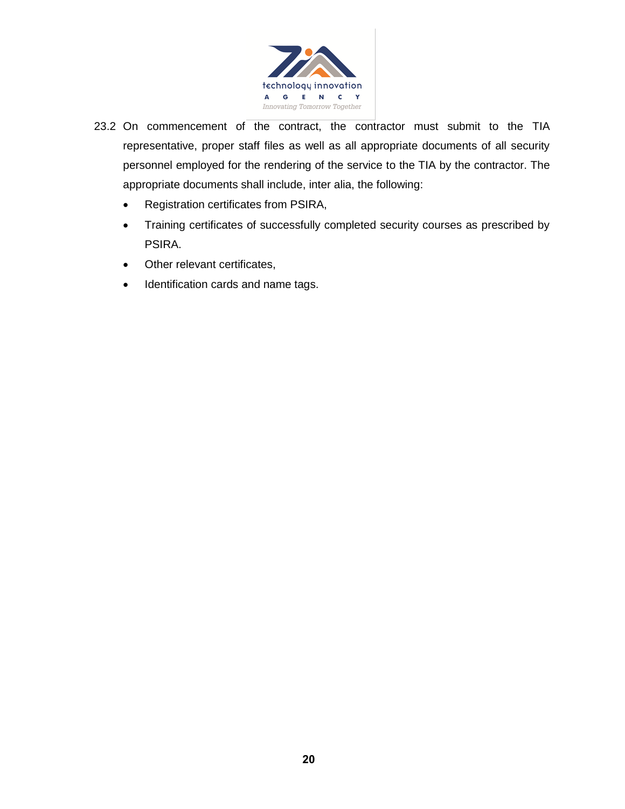

- 23.2 On commencement of the contract, the contractor must submit to the TIA representative, proper staff files as well as all appropriate documents of all security personnel employed for the rendering of the service to the TIA by the contractor. The appropriate documents shall include, inter alia, the following:
	- Registration certificates from PSIRA,
	- Training certificates of successfully completed security courses as prescribed by PSIRA.
	- Other relevant certificates,
	- Identification cards and name tags.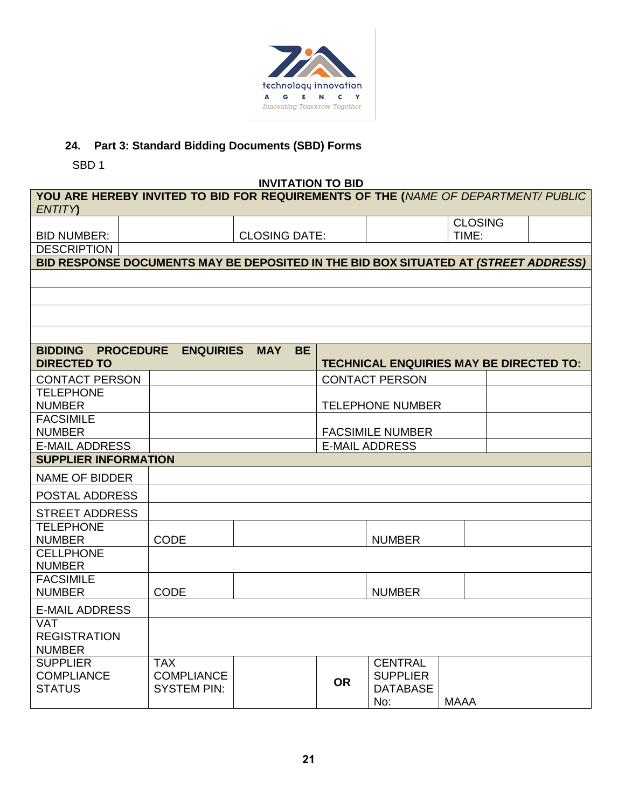

# **24. Part 3: Standard Bidding Documents (SBD) Forms**

SBD 1

**INVITATION TO BID**

|                                                                                                    |                    | <u>UNILATIVN TV PID</u> |           |                                                |                |  |  |  |
|----------------------------------------------------------------------------------------------------|--------------------|-------------------------|-----------|------------------------------------------------|----------------|--|--|--|
| YOU ARE HEREBY INVITED TO BID FOR REQUIREMENTS OF THE (NAME OF DEPARTMENT/ PUBLIC<br><b>ENTITY</b> |                    |                         |           |                                                |                |  |  |  |
|                                                                                                    |                    |                         |           |                                                | <b>CLOSING</b> |  |  |  |
|                                                                                                    |                    |                         |           |                                                |                |  |  |  |
| <b>BID NUMBER:</b>                                                                                 |                    | <b>CLOSING DATE:</b>    |           |                                                | TIME:          |  |  |  |
| <b>DESCRIPTION</b>                                                                                 |                    |                         |           |                                                |                |  |  |  |
| BID RESPONSE DOCUMENTS MAY BE DEPOSITED IN THE BID BOX SITUATED AT (STREET ADDRESS)                |                    |                         |           |                                                |                |  |  |  |
|                                                                                                    |                    |                         |           |                                                |                |  |  |  |
|                                                                                                    |                    |                         |           |                                                |                |  |  |  |
|                                                                                                    |                    |                         |           |                                                |                |  |  |  |
|                                                                                                    |                    |                         |           |                                                |                |  |  |  |
| <b>BIDDING</b><br><b>PROCEDURE</b><br><b>DIRECTED TO</b>                                           | <b>ENQUIRIES</b>   | <b>BE</b><br><b>MAY</b> |           | <b>TECHNICAL ENQUIRIES MAY BE DIRECTED TO:</b> |                |  |  |  |
| <b>CONTACT PERSON</b>                                                                              |                    |                         |           | <b>CONTACT PERSON</b>                          |                |  |  |  |
| <b>TELEPHONE</b>                                                                                   |                    |                         |           |                                                |                |  |  |  |
| <b>NUMBER</b>                                                                                      |                    |                         |           | <b>TELEPHONE NUMBER</b>                        |                |  |  |  |
| <b>FACSIMILE</b>                                                                                   |                    |                         |           |                                                |                |  |  |  |
| <b>NUMBER</b>                                                                                      |                    |                         |           | <b>FACSIMILE NUMBER</b>                        |                |  |  |  |
| <b>E-MAIL ADDRESS</b>                                                                              |                    |                         |           | <b>E-MAIL ADDRESS</b>                          |                |  |  |  |
| <b>SUPPLIER INFORMATION</b>                                                                        |                    |                         |           |                                                |                |  |  |  |
| <b>NAME OF BIDDER</b>                                                                              |                    |                         |           |                                                |                |  |  |  |
| POSTAL ADDRESS                                                                                     |                    |                         |           |                                                |                |  |  |  |
| <b>STREET ADDRESS</b>                                                                              |                    |                         |           |                                                |                |  |  |  |
| <b>TELEPHONE</b>                                                                                   |                    |                         |           |                                                |                |  |  |  |
| <b>NUMBER</b>                                                                                      | <b>CODE</b>        |                         |           | <b>NUMBER</b>                                  |                |  |  |  |
| <b>CELLPHONE</b>                                                                                   |                    |                         |           |                                                |                |  |  |  |
| <b>NUMBER</b>                                                                                      |                    |                         |           |                                                |                |  |  |  |
| <b>FACSIMILE</b>                                                                                   |                    |                         |           |                                                |                |  |  |  |
| <b>NUMBER</b>                                                                                      | <b>CODE</b>        |                         |           | <b>NUMBER</b>                                  |                |  |  |  |
| <b>E-MAIL ADDRESS</b>                                                                              |                    |                         |           |                                                |                |  |  |  |
| <b>VAT</b>                                                                                         |                    |                         |           |                                                |                |  |  |  |
| <b>REGISTRATION</b>                                                                                |                    |                         |           |                                                |                |  |  |  |
| <b>NUMBER</b>                                                                                      |                    |                         |           |                                                |                |  |  |  |
| <b>SUPPLIER</b>                                                                                    | <b>TAX</b>         |                         |           | <b>CENTRAL</b>                                 |                |  |  |  |
| <b>COMPLIANCE</b>                                                                                  | <b>COMPLIANCE</b>  |                         | <b>OR</b> | <b>SUPPLIER</b>                                |                |  |  |  |
| <b>STATUS</b>                                                                                      | <b>SYSTEM PIN:</b> |                         |           | <b>DATABASE</b>                                |                |  |  |  |
|                                                                                                    |                    |                         |           | No:                                            | <b>MAAA</b>    |  |  |  |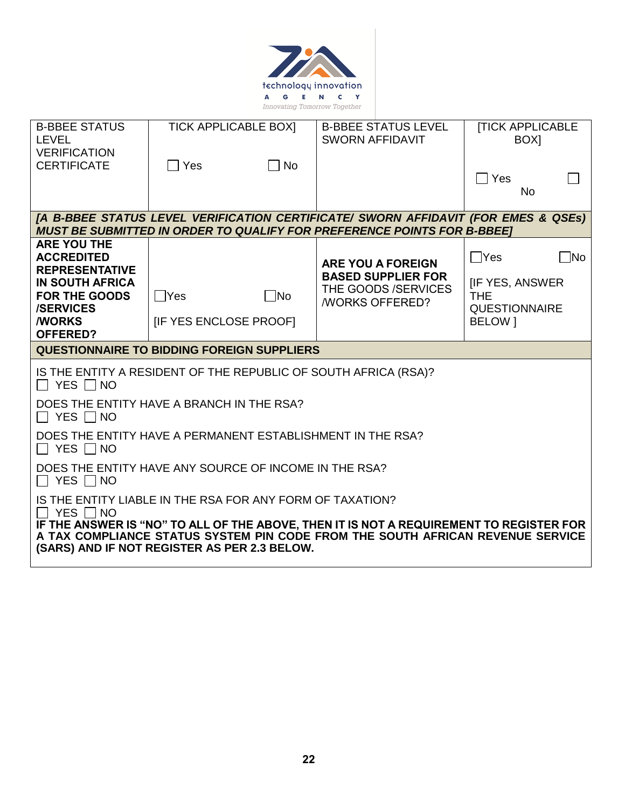

| <b>B-BBEE STATUS</b><br><b>LEVEL</b>                                                       | <b>TICK APPLICABLE BOXI</b>                |             | <b>B-BBEE STATUS LEVEL</b><br><b>SWORN AFFIDAVIT</b>                                                                                                                 | <b>ITICK APPLICABLE</b><br>BOX <sub>1</sub>   |
|--------------------------------------------------------------------------------------------|--------------------------------------------|-------------|----------------------------------------------------------------------------------------------------------------------------------------------------------------------|-----------------------------------------------|
| <b>VERIFICATION</b><br><b>CERTIFICATE</b>                                                  | $\Box$ Yes                                 | $\Box$ No   |                                                                                                                                                                      | $\bigcap$ Yes<br>No.                          |
|                                                                                            |                                            |             | [A B-BBEE STATUS LEVEL VERIFICATION CERTIFICATE/ SWORN AFFIDAVIT (FOR EMES & QSEs)<br><b>MUST BE SUBMITTED IN ORDER TO QUALIFY FOR PREFERENCE POINTS FOR B-BBEET</b> |                                               |
| <b>ARE YOU THE</b><br><b>ACCREDITED</b><br><b>REPRESENTATIVE</b><br><b>IN SOUTH AFRICA</b> |                                            |             | <b>ARE YOU A FOREIGN</b><br><b>BASED SUPPLIER FOR</b><br>THE GOODS /SERVICES                                                                                         | $\Box$ Yes<br>No.<br><b>IF YES, ANSWER</b>    |
| <b>FOR THE GOODS</b><br><b>/SERVICES</b><br><b>WORKS</b><br><b>OFFERED?</b>                | $\Box$ Yes<br><b>IF YES ENCLOSE PROOFI</b> | $\sqcap$ No | <b><i>NORKS OFFERED?</i></b>                                                                                                                                         | <b>THE</b><br><b>QUESTIONNAIRE</b><br>BELOW 1 |
|                                                                                            |                                            |             |                                                                                                                                                                      |                                               |
| <b>QUESTIONNAIRE TO BIDDING FOREIGN SUPPLIERS</b>                                          |                                            |             |                                                                                                                                                                      |                                               |
| $\Box$ Yes $\Box$ No                                                                       |                                            |             | IS THE ENTITY A RESIDENT OF THE REPUBLIC OF SOUTH AFRICA (RSA)?                                                                                                      |                                               |
| DOES THE ENTITY HAVE A BRANCH IN THE RSA?<br>$\Box$ Yes $\Box$ No                          |                                            |             |                                                                                                                                                                      |                                               |
| DOES THE ENTITY HAVE A PERMANENT ESTABLISHMENT IN THE RSA?<br>$\Box$ Yes $\Box$ No         |                                            |             |                                                                                                                                                                      |                                               |
| DOES THE ENTITY HAVE ANY SOURCE OF INCOME IN THE RSA?<br>$\Box$ Yes $\Box$ No              |                                            |             |                                                                                                                                                                      |                                               |
| IS THE ENTITY LIABLE IN THE RSA FOR ANY FORM OF TAXATION?<br>YES $\Box$ NO                 |                                            |             | IF THE ANSWER IS "NO" TO ALL OF THE ABOVE, THEN IT IS NOT A REQUIREMENT TO REGISTER FOR                                                                              |                                               |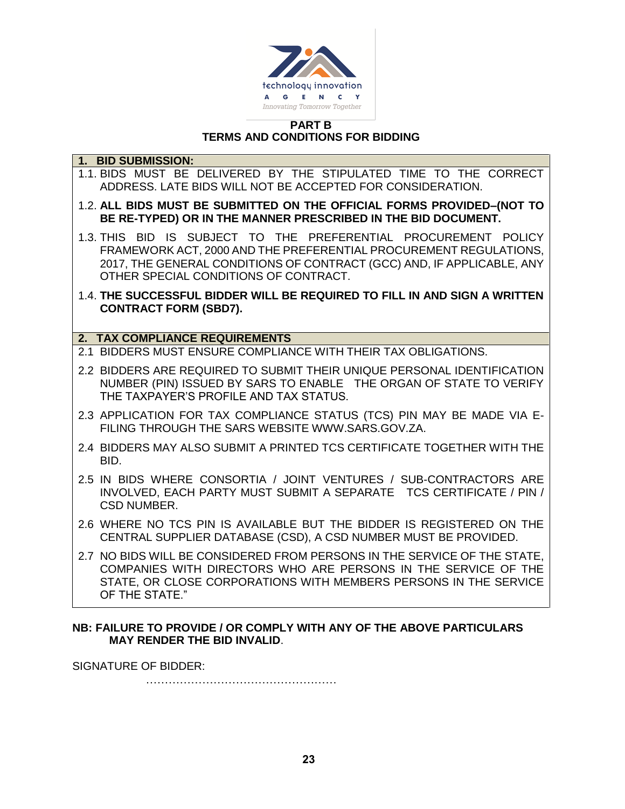

#### **PART B TERMS AND CONDITIONS FOR BIDDING**

#### **1. BID SUBMISSION:**

- 1.1. BIDS MUST BE DELIVERED BY THE STIPULATED TIME TO THE CORRECT ADDRESS. LATE BIDS WILL NOT BE ACCEPTED FOR CONSIDERATION.
- 1.2. **ALL BIDS MUST BE SUBMITTED ON THE OFFICIAL FORMS PROVIDED–(NOT TO BE RE-TYPED) OR IN THE MANNER PRESCRIBED IN THE BID DOCUMENT.**
- 1.3. THIS BID IS SUBJECT TO THE PREFERENTIAL PROCUREMENT POLICY FRAMEWORK ACT, 2000 AND THE PREFERENTIAL PROCUREMENT REGULATIONS, 2017, THE GENERAL CONDITIONS OF CONTRACT (GCC) AND, IF APPLICABLE, ANY OTHER SPECIAL CONDITIONS OF CONTRACT.
- 1.4. **THE SUCCESSFUL BIDDER WILL BE REQUIRED TO FILL IN AND SIGN A WRITTEN CONTRACT FORM (SBD7).**

#### **2. TAX COMPLIANCE REQUIREMENTS**

- 2.1 BIDDERS MUST ENSURE COMPLIANCE WITH THEIR TAX OBLIGATIONS.
- 2.2 BIDDERS ARE REQUIRED TO SUBMIT THEIR UNIQUE PERSONAL IDENTIFICATION NUMBER (PIN) ISSUED BY SARS TO ENABLE THE ORGAN OF STATE TO VERIFY THE TAXPAYER'S PROFILE AND TAX STATUS.
- 2.3 APPLICATION FOR TAX COMPLIANCE STATUS (TCS) PIN MAY BE MADE VIA E-FILING THROUGH THE SARS WEBSITE [WWW.SARS.GOV.ZA.](http://www.sars.gov.za/)
- 2.4 BIDDERS MAY ALSO SUBMIT A PRINTED TCS CERTIFICATE TOGETHER WITH THE BID.
- 2.5 IN BIDS WHERE CONSORTIA / JOINT VENTURES / SUB-CONTRACTORS ARE INVOLVED, EACH PARTY MUST SUBMIT A SEPARATE TCS CERTIFICATE / PIN / CSD NUMBER.
- 2.6 WHERE NO TCS PIN IS AVAILABLE BUT THE BIDDER IS REGISTERED ON THE CENTRAL SUPPLIER DATABASE (CSD), A CSD NUMBER MUST BE PROVIDED.
- 2.7 NO BIDS WILL BE CONSIDERED FROM PERSONS IN THE SERVICE OF THE STATE, COMPANIES WITH DIRECTORS WHO ARE PERSONS IN THE SERVICE OF THE STATE, OR CLOSE CORPORATIONS WITH MEMBERS PERSONS IN THE SERVICE OF THE STATE."

#### **NB: FAILURE TO PROVIDE / OR COMPLY WITH ANY OF THE ABOVE PARTICULARS MAY RENDER THE BID INVALID**.

SIGNATURE OF BIDDER:

……………………………………………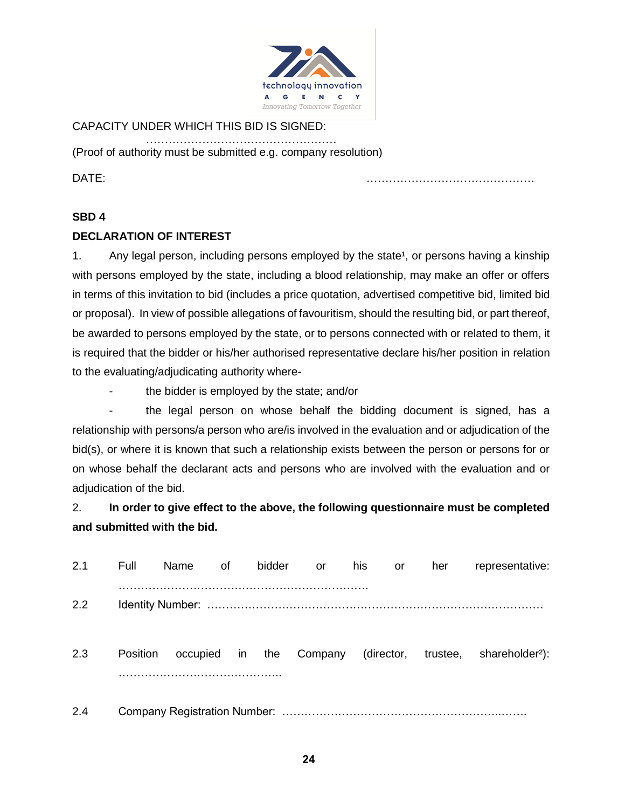

## CAPACITY UNDER WHICH THIS BID IS SIGNED:

…………………………………………… (Proof of authority must be submitted e.g. company resolution)

DATE: ………………………………………

#### **SBD 4**

#### **DECLARATION OF INTEREST**

1. Any legal person, including persons employed by the state<sup>1</sup>, or persons having a kinship with persons employed by the state, including a blood relationship, may make an offer or offers in terms of this invitation to bid (includes a price quotation, advertised competitive bid, limited bid or proposal). In view of possible allegations of favouritism, should the resulting bid, or part thereof, be awarded to persons employed by the state, or to persons connected with or related to them, it is required that the bidder or his/her authorised representative declare his/her position in relation to the evaluating/adjudicating authority where-

- the bidder is employed by the state; and/or

the legal person on whose behalf the bidding document is signed, has a relationship with persons/a person who are/is involved in the evaluation and or adjudication of the bid(s), or where it is known that such a relationship exists between the person or persons for or on whose behalf the declarant acts and persons who are involved with the evaluation and or adjudication of the bid.

2. **In order to give effect to the above, the following questionnaire must be completed and submitted with the bid.**

| 2.1 | Full            | Name        | οf | bidder | or      | his | or | her | representative:                                 |
|-----|-----------------|-------------|----|--------|---------|-----|----|-----|-------------------------------------------------|
| 2.2 |                 |             |    |        |         |     |    |     |                                                 |
| 2.3 | <b>Position</b> | occupied in |    | the    | Company |     |    |     | (director, trustee, shareholder <sup>2</sup> ): |
| 2.4 |                 |             |    |        |         |     |    |     |                                                 |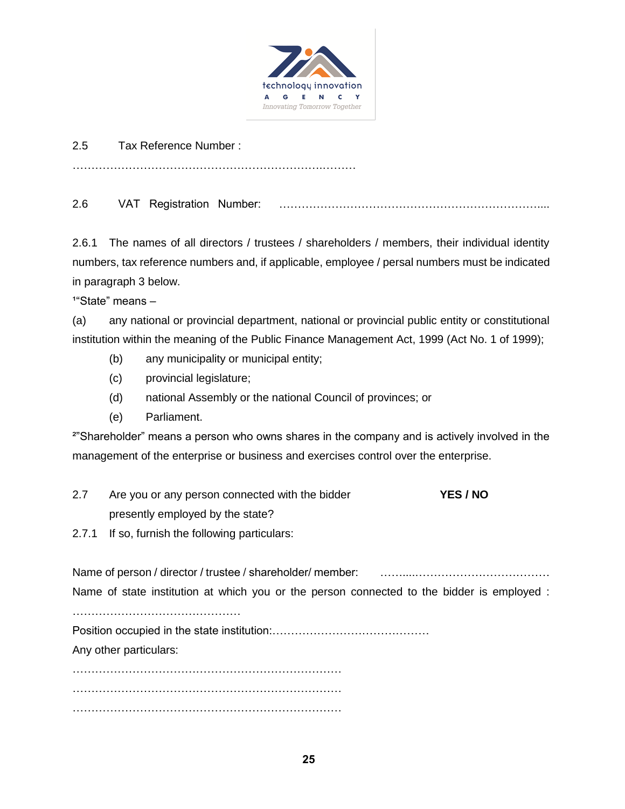

2.5 Tax Reference Number :

………………………………………………………….………

2.6 VAT Registration Number: ……………………………………………………………....

2.6.1 The names of all directors / trustees / shareholders / members, their individual identity numbers, tax reference numbers and, if applicable, employee / persal numbers must be indicated in paragraph 3 below.

 $14$ "State" means  $-$ 

(a) any national or provincial department, national or provincial public entity or constitutional institution within the meaning of the Public Finance Management Act, 1999 (Act No. 1 of 1999);

- (b) any municipality or municipal entity;
- (c) provincial legislature;
- (d) national Assembly or the national Council of provinces; or
- (e) Parliament.

²"Shareholder" means a person who owns shares in the company and is actively involved in the management of the enterprise or business and exercises control over the enterprise.

- 2.7 Are you or any person connected with the bidder **YES / NO** presently employed by the state?
- 2.7.1 If so, furnish the following particulars:

Name of person / director / trustee / shareholder/ member: ……....……………………………… Name of state institution at which you or the person connected to the bidder is employed :

…………………………………………

Position occupied in the state institution:……………………………………

Any other particulars:

……………………………………………………………… ……………………………………………………………… ………………………………………………………………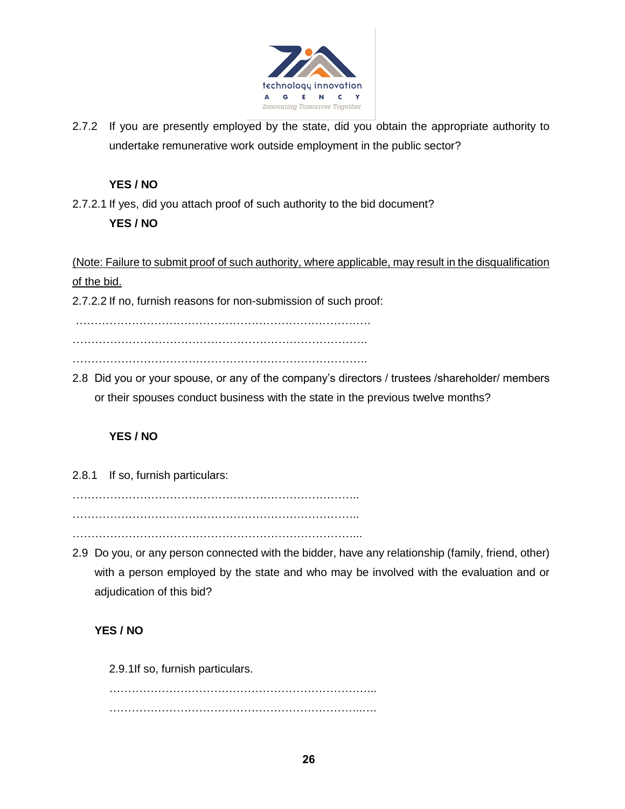

2.7.2 If you are presently employed by the state, did you obtain the appropriate authority to undertake remunerative work outside employment in the public sector?

## **YES / NO**

2.7.2.1 If yes, did you attach proof of such authority to the bid document?

## **YES / NO**

(Note: Failure to submit proof of such authority, where applicable, may result in the disqualification of the bid.

2.7.2.2 If no, furnish reasons for non-submission of such proof:

…………………………………………………………………….

…………………………………………………………………….

…………………………………………………………………….

2.8 Did you or your spouse, or any of the company's directors / trustees /shareholder/ members or their spouses conduct business with the state in the previous twelve months?

## **YES / NO**

2.8.1 If so, furnish particulars:

………………………………………………………………….. …………………………………………………………………..

…………………………………………………………………...

2.9 Do you, or any person connected with the bidder, have any relationship (family, friend, other) with a person employed by the state and who may be involved with the evaluation and or adjudication of this bid?

## **YES / NO**

2.9.1If so, furnish particulars.

……………………………………………………………... …………………………………………………………..….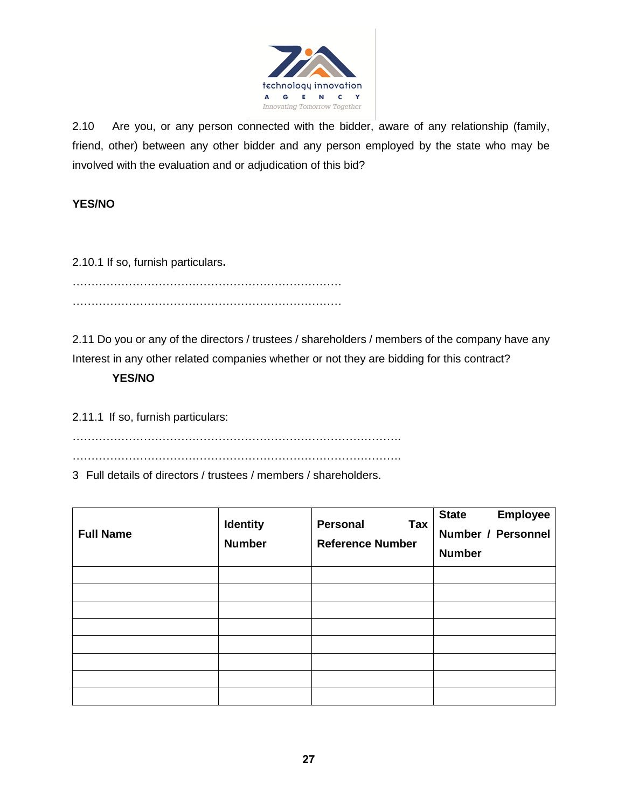

2.10 Are you, or any person connected with the bidder, aware of any relationship (family, friend, other) between any other bidder and any person employed by the state who may be involved with the evaluation and or adjudication of this bid?

## **YES/NO**

2.10.1 If so, furnish particulars**.**

……………………………………………………………… ………………………………………………………………

2.11 Do you or any of the directors / trustees / shareholders / members of the company have any Interest in any other related companies whether or not they are bidding for this contract?

## **YES/NO**

2.11.1 If so, furnish particulars:

…………………………………………………………………………….

…………………………………………………………………………….

3 Full details of directors / trustees / members / shareholders.

| <b>Full Name</b> | <b>Identity</b><br><b>Number</b> | Personal<br>Tax<br><b>Reference Number</b> | <b>Employee</b><br><b>State</b><br>Number / Personnel<br><b>Number</b> |
|------------------|----------------------------------|--------------------------------------------|------------------------------------------------------------------------|
|                  |                                  |                                            |                                                                        |
|                  |                                  |                                            |                                                                        |
|                  |                                  |                                            |                                                                        |
|                  |                                  |                                            |                                                                        |
|                  |                                  |                                            |                                                                        |
|                  |                                  |                                            |                                                                        |
|                  |                                  |                                            |                                                                        |
|                  |                                  |                                            |                                                                        |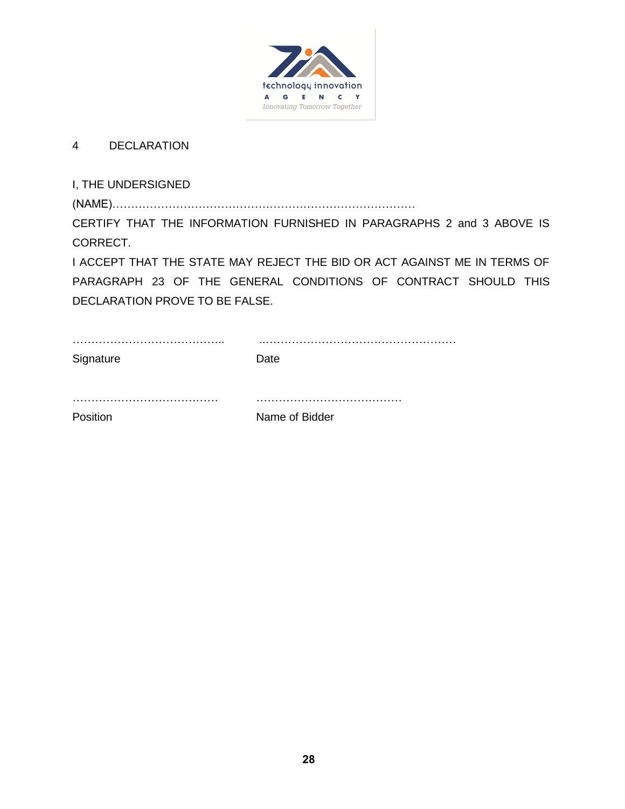

## 4 DECLARATION

I, THE UNDERSIGNED

(NAME)……………………………………………………………………… CERTIFY THAT THE INFORMATION FURNISHED IN PARAGRAPHS 2 and 3 ABOVE IS CORRECT.

I ACCEPT THAT THE STATE MAY REJECT THE BID OR ACT AGAINST ME IN TERMS OF PARAGRAPH 23 OF THE GENERAL CONDITIONS OF CONTRACT SHOULD THIS DECLARATION PROVE TO BE FALSE.

| Signature | .<br>Date      |
|-----------|----------------|
|           |                |
| Position  | Name of Bidder |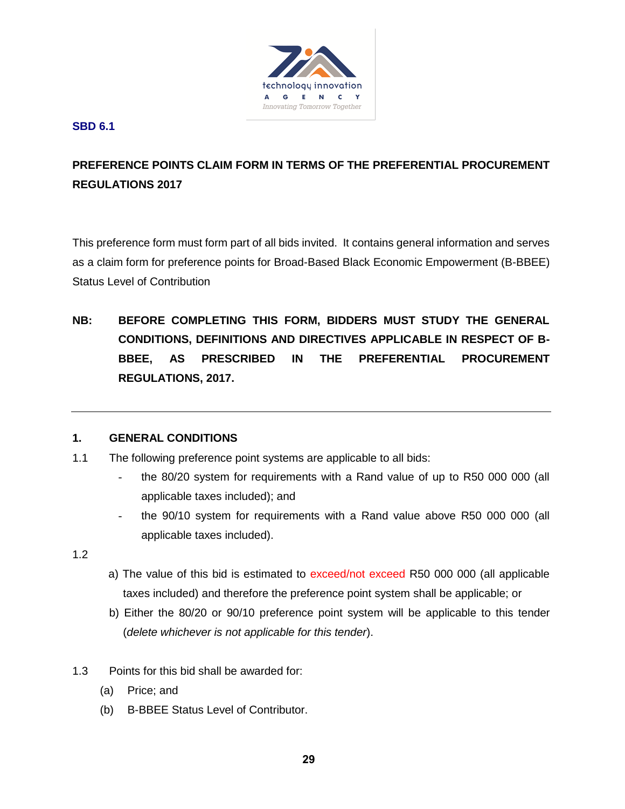

#### **SBD 6.1**

# **PREFERENCE POINTS CLAIM FORM IN TERMS OF THE PREFERENTIAL PROCUREMENT REGULATIONS 2017**

This preference form must form part of all bids invited. It contains general information and serves as a claim form for preference points for Broad-Based Black Economic Empowerment (B-BBEE) Status Level of Contribution

**NB: BEFORE COMPLETING THIS FORM, BIDDERS MUST STUDY THE GENERAL CONDITIONS, DEFINITIONS AND DIRECTIVES APPLICABLE IN RESPECT OF B-BBEE, AS PRESCRIBED IN THE PREFERENTIAL PROCUREMENT REGULATIONS, 2017.** 

## **1. GENERAL CONDITIONS**

- 1.1 The following preference point systems are applicable to all bids:
	- the 80/20 system for requirements with a Rand value of up to R50 000 000 (all applicable taxes included); and
	- the 90/10 system for requirements with a Rand value above R50 000 000 (all applicable taxes included).

1.2

- a) The value of this bid is estimated to exceed/not exceed R50 000 000 (all applicable taxes included) and therefore the preference point system shall be applicable; or
- b) Either the 80/20 or 90/10 preference point system will be applicable to this tender (*delete whichever is not applicable for this tender*).
- 1.3 Points for this bid shall be awarded for:
	- (a) Price; and
	- (b) B-BBEE Status Level of Contributor.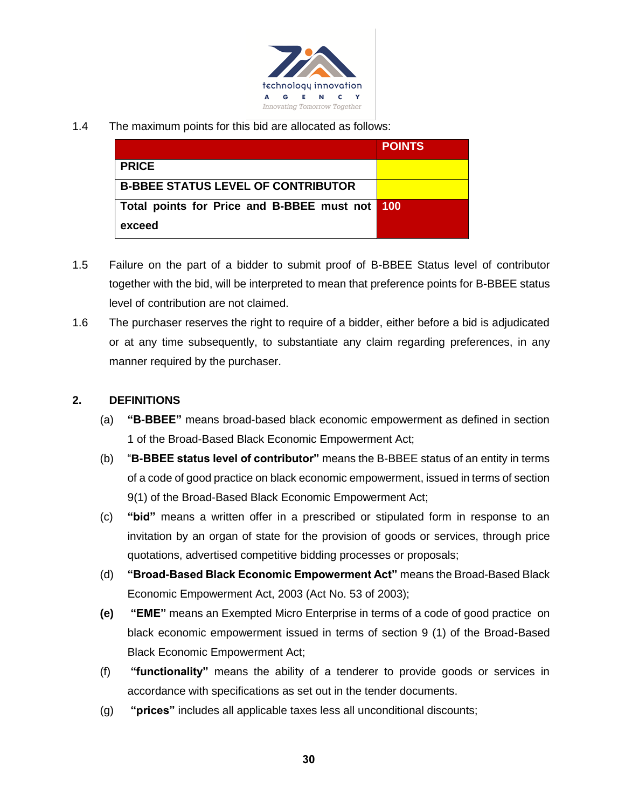

1.4 The maximum points for this bid are allocated as follows:

|                                                | <b>POINTS</b> |
|------------------------------------------------|---------------|
| <b>PRICE</b>                                   |               |
| <b>B-BBEE STATUS LEVEL OF CONTRIBUTOR</b>      |               |
| Total points for Price and B-BBEE must not 100 |               |
| exceed                                         |               |

- 1.5 Failure on the part of a bidder to submit proof of B-BBEE Status level of contributor together with the bid, will be interpreted to mean that preference points for B-BBEE status level of contribution are not claimed.
- 1.6 The purchaser reserves the right to require of a bidder, either before a bid is adjudicated or at any time subsequently, to substantiate any claim regarding preferences, in any manner required by the purchaser.

## **2. DEFINITIONS**

- (a) **"B-BBEE"** means broad-based black economic empowerment as defined in section 1 of the Broad-Based Black Economic Empowerment Act;
- (b) "**B-BBEE status level of contributor"** means the B-BBEE status of an entity in terms of a code of good practice on black economic empowerment, issued in terms of section 9(1) of the Broad-Based Black Economic Empowerment Act;
- (c) **"bid"** means a written offer in a prescribed or stipulated form in response to an invitation by an organ of state for the provision of goods or services, through price quotations, advertised competitive bidding processes or proposals;
- (d) **"Broad-Based Black Economic Empowerment Act"** means the Broad-Based Black Economic Empowerment Act, 2003 (Act No. 53 of 2003);
- **(e) "EME"** means an Exempted Micro Enterprise in terms of a code of good practice on black economic empowerment issued in terms of section 9 (1) of the Broad-Based Black Economic Empowerment Act;
- (f) **"functionality"** means the ability of a tenderer to provide goods or services in accordance with specifications as set out in the tender documents.
- (g) **"prices"** includes all applicable taxes less all unconditional discounts;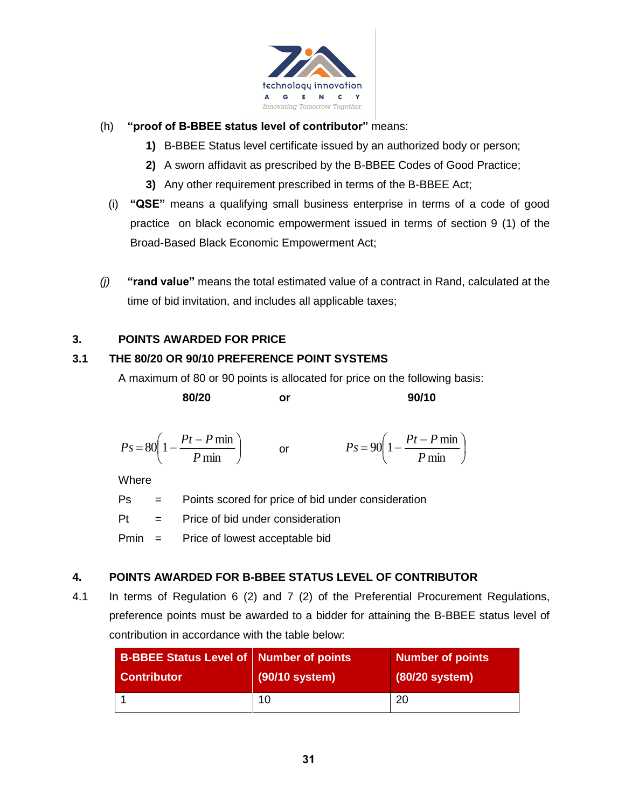

## (h) **"proof of B-BBEE status level of contributor"** means:

- **1)** B-BBEE Status level certificate issued by an authorized body or person;
- **2)** A sworn affidavit as prescribed by the B-BBEE Codes of Good Practice;
- **3)** Any other requirement prescribed in terms of the B-BBEE Act;
- (i) **"QSE"** means a qualifying small business enterprise in terms of a code of good practice on black economic empowerment issued in terms of section 9 (1) of the Broad-Based Black Economic Empowerment Act;
- *(j)* **"rand value"** means the total estimated value of a contract in Rand, calculated at the time of bid invitation, and includes all applicable taxes;

I  $\backslash$ 

 $\overline{\phantom{a}}$ l

#### **3. POINTS AWARDED FOR PRICE**

#### **3.1 THE 80/20 OR 90/10 PREFERENCE POINT SYSTEMS**

A maximum of 80 or 90 points is allocated for price on the following basis:

| 80/20                                                    | or | 90/10                                                       |
|----------------------------------------------------------|----|-------------------------------------------------------------|
| $P_s = 80 \left( 1 - \frac{Pt - P \min}{P \min} \right)$ | or | $P_s = 90 \left( 1 - \frac{Pt - P \min P}{ \min P} \right)$ |

l  $Ps = 80\left(1 - \frac{Pm_{\text{min}}}{Pm_{\text{min}}}\right)$  or  $Ps = 90\left(1 - \frac{Pm_{\text{min}}}{Pm_{\text{min}}}\right)$ **Where** 

Ps = Points scored for price of bid under consideration

 $Pt =$  Price of bid under consideration

I J

Pmin = Price of lowest acceptable bid

## **4. POINTS AWARDED FOR B-BBEE STATUS LEVEL OF CONTRIBUTOR**

4.1 In terms of Regulation 6 (2) and 7 (2) of the Preferential Procurement Regulations, preference points must be awarded to a bidder for attaining the B-BBEE status level of contribution in accordance with the table below:

| <b>B-BBEE Status Level of Number of points</b> |                | <b>Number of points</b> |
|------------------------------------------------|----------------|-------------------------|
| <b>Contributor</b>                             | (90/10 system) | (80/20 system)          |
|                                                | 10             | 20                      |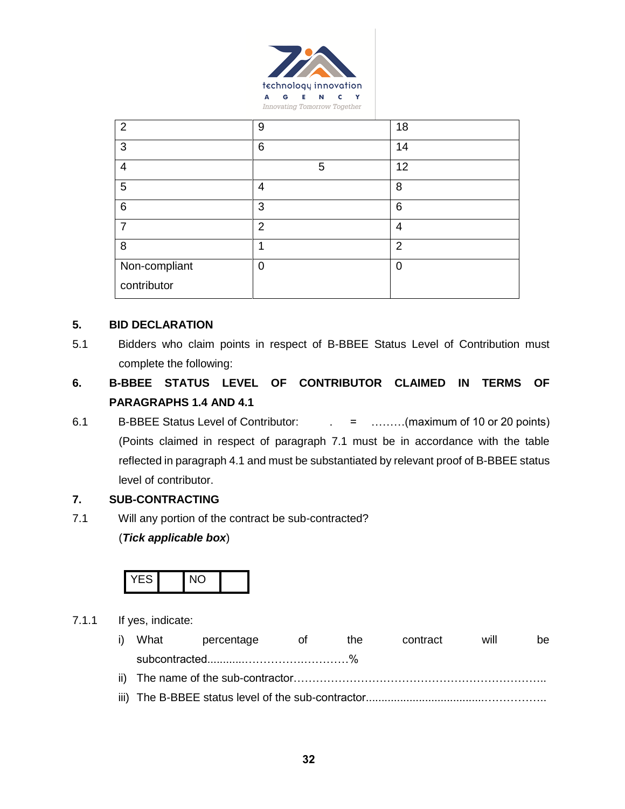

| $\overline{2}$ | 9              | 18              |
|----------------|----------------|-----------------|
| 3              | 6              | 14              |
| 4              | 5              | 12              |
| 5              | 4              | 8               |
| 6              | 3              | $6\phantom{1}6$ |
| 7              | $\overline{2}$ | 4               |
| 8              |                | $\overline{2}$  |
| Non-compliant  | 0              | 0               |
| contributor    |                |                 |

#### **5. BID DECLARATION**

- 5.1 Bidders who claim points in respect of B-BBEE Status Level of Contribution must complete the following:
- **6. B-BBEE STATUS LEVEL OF CONTRIBUTOR CLAIMED IN TERMS OF PARAGRAPHS 1.4 AND 4.1**
- 6.1 B-BBEE Status Level of Contributor:  $\qquad \qquad = \qquad \qquad$  = .........(maximum of 10 or 20 points) (Points claimed in respect of paragraph 7.1 must be in accordance with the table reflected in paragraph 4.1 and must be substantiated by relevant proof of B-BBEE status level of contributor.

#### **7. SUB-CONTRACTING**

7.1 Will any portion of the contract be sub-contracted?

#### (*Tick applicable box*)



#### 7.1.1 If yes, indicate:

i) What percentage of the contract will be subcontracted............…………….…………% ii) The name of the sub-contractor………………………………………………………….. iii) The B-BBEE status level of the sub-contractor......................................……………..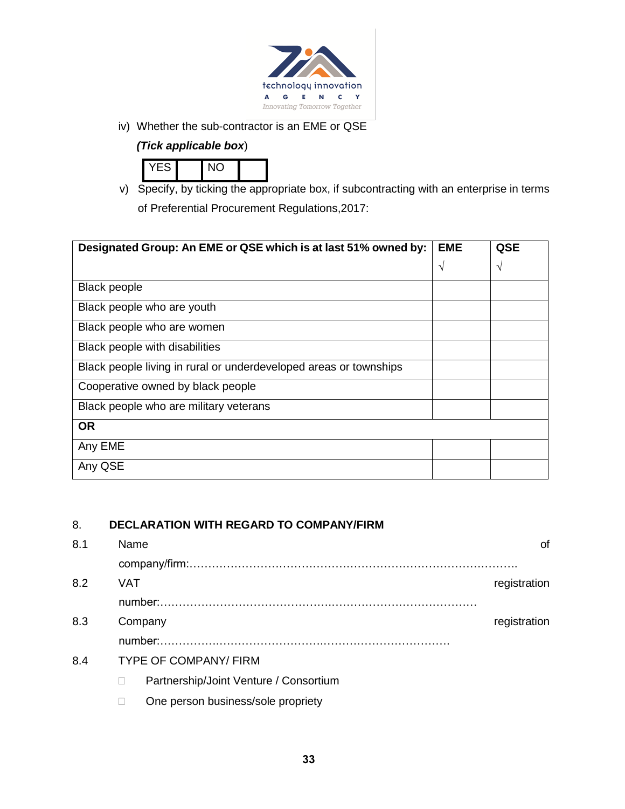

iv) Whether the sub-contractor is an EME or QSE

## *(Tick applicable box*)



v) Specify, by ticking the appropriate box, if subcontracting with an enterprise in terms of Preferential Procurement Regulations,2017:

| Designated Group: An EME or QSE which is at last 51% owned by:    | <b>EME</b> | QSE           |
|-------------------------------------------------------------------|------------|---------------|
|                                                                   | $\gamma$   | $\mathcal{N}$ |
| <b>Black people</b>                                               |            |               |
| Black people who are youth                                        |            |               |
| Black people who are women                                        |            |               |
| Black people with disabilities                                    |            |               |
| Black people living in rural or underdeveloped areas or townships |            |               |
| Cooperative owned by black people                                 |            |               |
| Black people who are military veterans                            |            |               |
| <b>OR</b>                                                         |            |               |
| Any EME                                                           |            |               |
| Any QSE                                                           |            |               |

## 8. **DECLARATION WITH REGARD TO COMPANY/FIRM**

| 8.1 | Name                                   | Ωf           |
|-----|----------------------------------------|--------------|
|     |                                        |              |
| 8.2 | VAT                                    | registration |
|     |                                        |              |
| 8.3 | Company                                | registration |
|     |                                        |              |
| 8.4 | <b>TYPE OF COMPANY/FIRM</b>            |              |
|     | Partnership/Joint Venture / Consortium |              |

□ One person business/sole propriety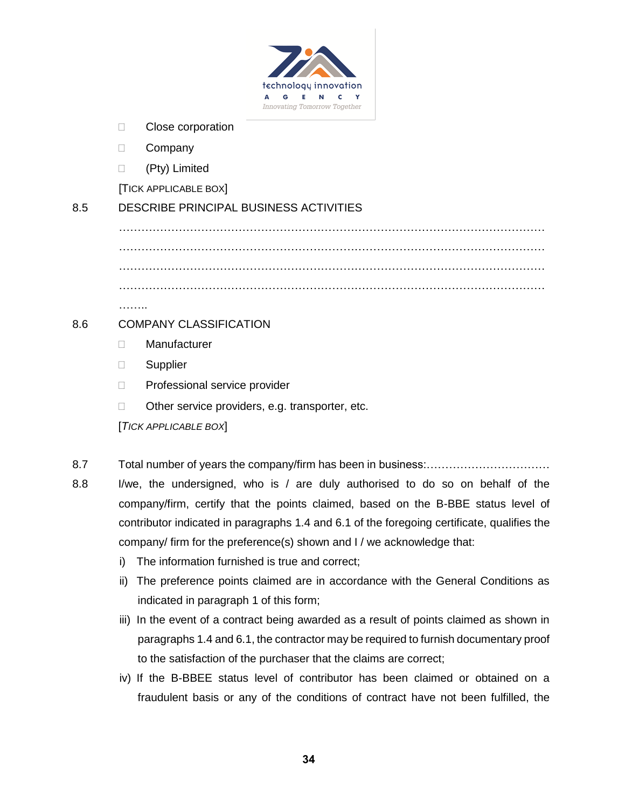

- □ Close corporation
- D Company
- (Pty) Limited

[TICK APPLICABLE BOX]

## 8.5 DESCRIBE PRINCIPAL BUSINESS ACTIVITIES

…………………………………………………………………………………………………… …………………………………………………………………………………………………… …………………………………………………………………………………………………… ……………………………………………………………………………………………………

……..

## 8.6 COMPANY CLASSIFICATION

- Manufacturer
- **Supplier**
- □ Professional service provider
- □ Other service providers, e.g. transporter, etc.

[*TICK APPLICABLE BOX*]

- 8.7 Total number of years the company/firm has been in business:……………………………
- 8.8 I/we, the undersigned, who is / are duly authorised to do so on behalf of the company/firm, certify that the points claimed, based on the B-BBE status level of contributor indicated in paragraphs 1.4 and 6.1 of the foregoing certificate, qualifies the company/ firm for the preference(s) shown and I / we acknowledge that:
	- i) The information furnished is true and correct;
	- ii) The preference points claimed are in accordance with the General Conditions as indicated in paragraph 1 of this form;
	- iii) In the event of a contract being awarded as a result of points claimed as shown in paragraphs 1.4 and 6.1, the contractor may be required to furnish documentary proof to the satisfaction of the purchaser that the claims are correct;
	- iv) If the B-BBEE status level of contributor has been claimed or obtained on a fraudulent basis or any of the conditions of contract have not been fulfilled, the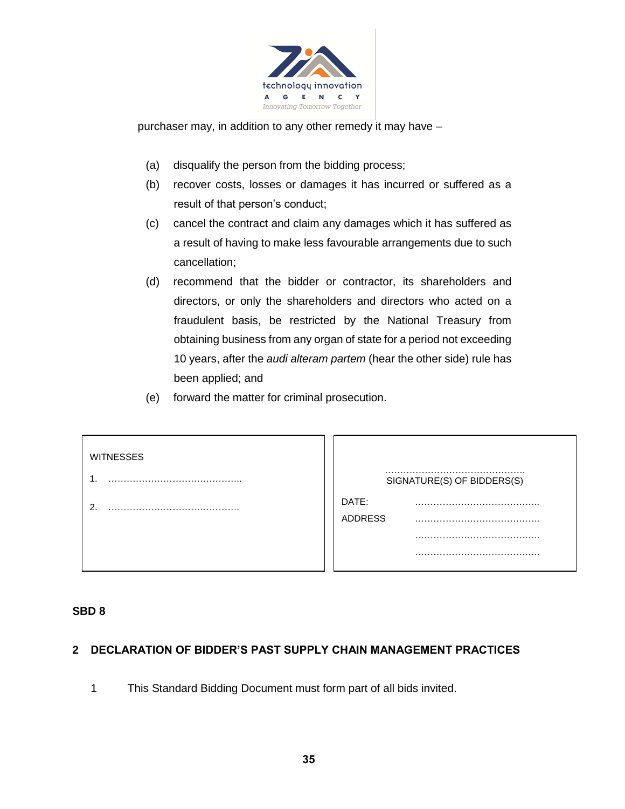

purchaser may, in addition to any other remedy it may have –

- (a) disqualify the person from the bidding process;
- (b) recover costs, losses or damages it has incurred or suffered as a result of that person's conduct;
- (c) cancel the contract and claim any damages which it has suffered as a result of having to make less favourable arrangements due to such cancellation;
- (d) recommend that the bidder or contractor, its shareholders and directors, or only the shareholders and directors who acted on a fraudulent basis, be restricted by the National Treasury from obtaining business from any organ of state for a period not exceeding 10 years, after the *audi alteram partem* (hear the other side) rule has been applied; and
- (e) forward the matter for criminal prosecution.

| <b>WITNESSES</b> | SIGNATURE(S) OF BIDDERS(S) |
|------------------|----------------------------|
| ົ                | DATE:<br><b>ADDRESS</b>    |
|                  |                            |

#### **SBD 8**

#### **2 DECLARATION OF BIDDER'S PAST SUPPLY CHAIN MANAGEMENT PRACTICES**

1 This Standard Bidding Document must form part of all bids invited.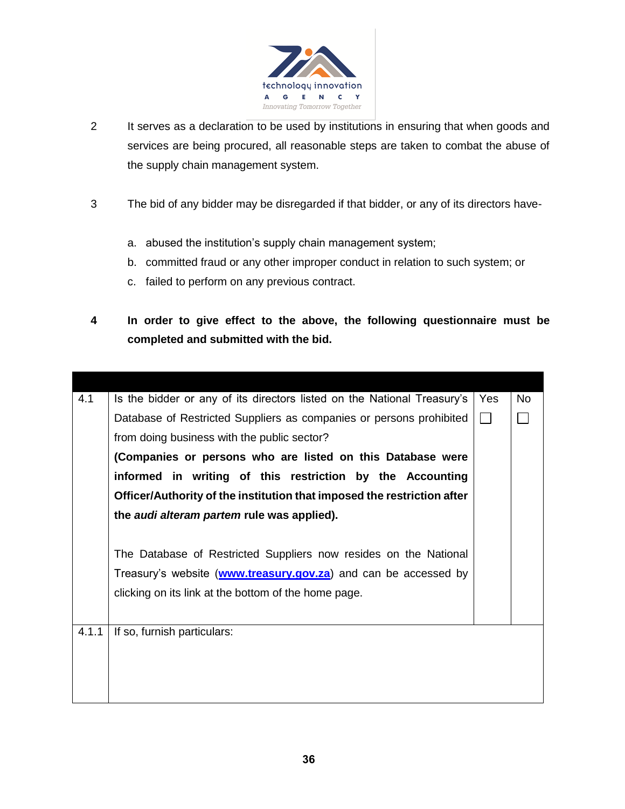

- 2 It serves as a declaration to be used by institutions in ensuring that when goods and services are being procured, all reasonable steps are taken to combat the abuse of the supply chain management system.
- 3 The bid of any bidder may be disregarded if that bidder, or any of its directors have
	- a. abused the institution's supply chain management system;
	- b. committed fraud or any other improper conduct in relation to such system; or
	- c. failed to perform on any previous contract.
- **4 In order to give effect to the above, the following questionnaire must be completed and submitted with the bid.**

| 4.1   | Is the bidder or any of its directors listed on the National Treasury's | Yes    | No. |
|-------|-------------------------------------------------------------------------|--------|-----|
|       | Database of Restricted Suppliers as companies or persons prohibited     | $\Box$ |     |
|       | from doing business with the public sector?                             |        |     |
|       | (Companies or persons who are listed on this Database were              |        |     |
|       | informed in writing of this restriction by the Accounting               |        |     |
|       | Officer/Authority of the institution that imposed the restriction after |        |     |
|       | the audi alteram partem rule was applied).                              |        |     |
|       |                                                                         |        |     |
|       | The Database of Restricted Suppliers now resides on the National        |        |     |
|       | Treasury's website (www.treasury.gov.za) and can be accessed by         |        |     |
|       | clicking on its link at the bottom of the home page.                    |        |     |
|       |                                                                         |        |     |
| 4.1.1 | If so, furnish particulars:                                             |        |     |
|       |                                                                         |        |     |
|       |                                                                         |        |     |
|       |                                                                         |        |     |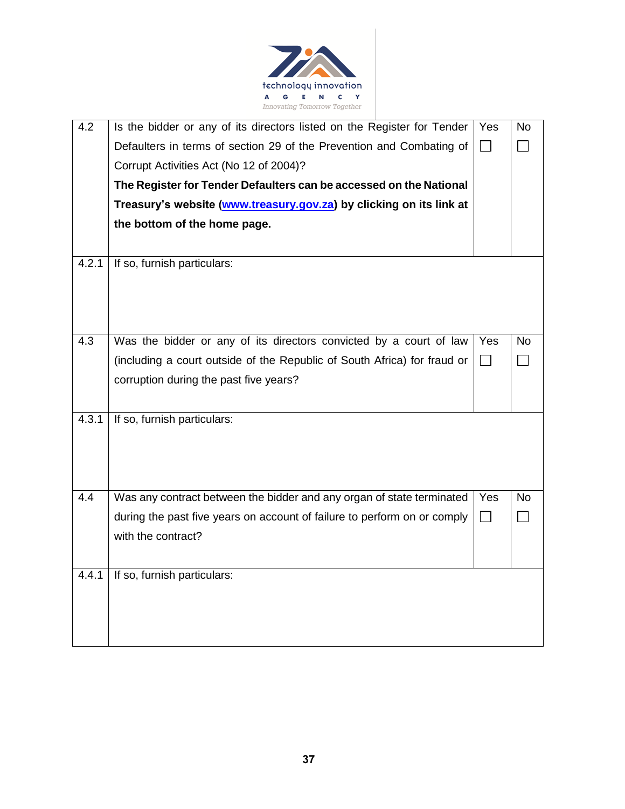

| 4.2   | Is the bidder or any of its directors listed on the Register for Tender  | Yes               | <b>No</b> |
|-------|--------------------------------------------------------------------------|-------------------|-----------|
|       | Defaulters in terms of section 29 of the Prevention and Combating of     | П                 |           |
|       | Corrupt Activities Act (No 12 of 2004)?                                  |                   |           |
|       | The Register for Tender Defaulters can be accessed on the National       |                   |           |
|       | Treasury's website (www.treasury.gov.za) by clicking on its link at      |                   |           |
|       | the bottom of the home page.                                             |                   |           |
|       |                                                                          |                   |           |
| 4.2.1 | If so, furnish particulars:                                              |                   |           |
|       |                                                                          |                   |           |
|       |                                                                          |                   |           |
|       |                                                                          |                   |           |
| 4.3   | Was the bidder or any of its directors convicted by a court of law       | Yes               | <b>No</b> |
|       | (including a court outside of the Republic of South Africa) for fraud or | $\Box$            |           |
|       | corruption during the past five years?                                   |                   |           |
|       |                                                                          |                   |           |
| 4.3.1 | If so, furnish particulars:                                              |                   |           |
|       |                                                                          |                   |           |
|       |                                                                          |                   |           |
|       |                                                                          |                   |           |
| 4.4   | Was any contract between the bidder and any organ of state terminated    | Yes               | <b>No</b> |
|       | during the past five years on account of failure to perform on or comply | $\vert \ \ \vert$ |           |
|       | with the contract?                                                       |                   |           |
|       |                                                                          |                   |           |
| 4.4.1 | If so, furnish particulars:                                              |                   |           |
|       |                                                                          |                   |           |
|       |                                                                          |                   |           |
|       |                                                                          |                   |           |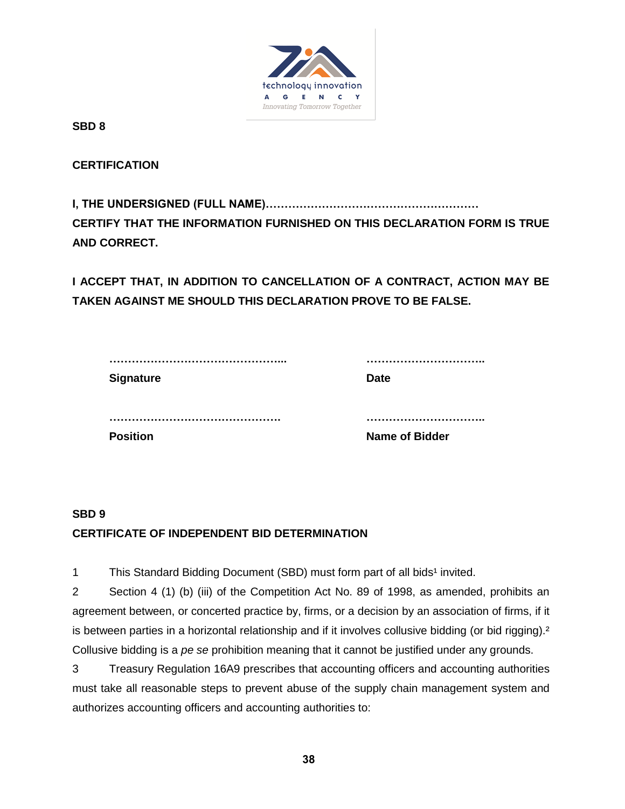

**SBD 8**

**CERTIFICATION**

**I, THE UNDERSIGNED (FULL NAME)………………………………………………… CERTIFY THAT THE INFORMATION FURNISHED ON THIS DECLARATION FORM IS TRUE AND CORRECT.**

**I ACCEPT THAT, IN ADDITION TO CANCELLATION OF A CONTRACT, ACTION MAY BE TAKEN AGAINST ME SHOULD THIS DECLARATION PROVE TO BE FALSE.**

| <b>Position</b> | <b>Name of Bidder</b> |
|-----------------|-----------------------|

# **SBD 9 CERTIFICATE OF INDEPENDENT BID DETERMINATION**

1 This Standard Bidding Document (SBD) must form part of all bids<sup>1</sup> invited.

2 Section 4 (1) (b) (iii) of the Competition Act No. 89 of 1998, as amended, prohibits an agreement between, or concerted practice by, firms, or a decision by an association of firms, if it is between parties in a horizontal relationship and if it involves collusive bidding (or bid rigging).<sup>2</sup> Collusive bidding is a *pe se* prohibition meaning that it cannot be justified under any grounds.

3 Treasury Regulation 16A9 prescribes that accounting officers and accounting authorities must take all reasonable steps to prevent abuse of the supply chain management system and authorizes accounting officers and accounting authorities to: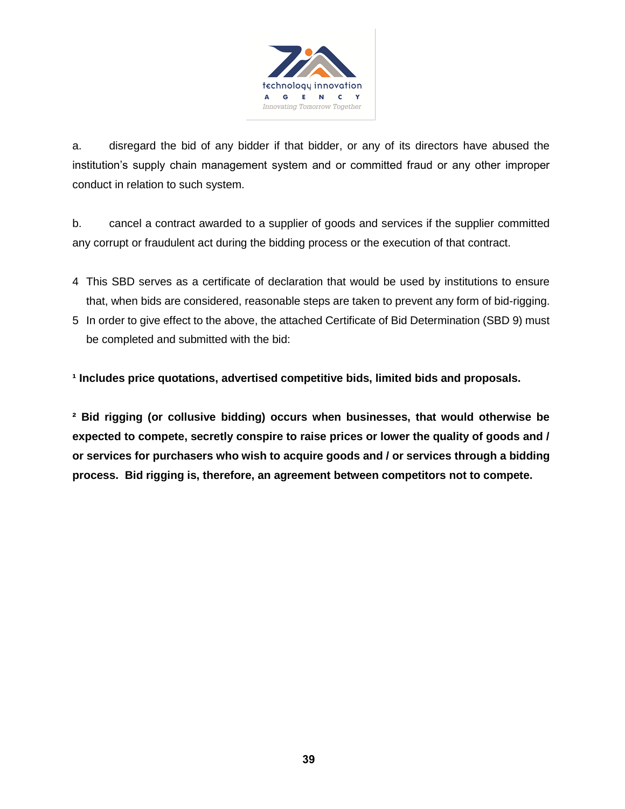

a. disregard the bid of any bidder if that bidder, or any of its directors have abused the institution's supply chain management system and or committed fraud or any other improper conduct in relation to such system.

b. cancel a contract awarded to a supplier of goods and services if the supplier committed any corrupt or fraudulent act during the bidding process or the execution of that contract.

- 4 This SBD serves as a certificate of declaration that would be used by institutions to ensure that, when bids are considered, reasonable steps are taken to prevent any form of bid-rigging.
- 5 In order to give effect to the above, the attached Certificate of Bid Determination (SBD 9) must be completed and submitted with the bid:

<sup>1</sup> Includes price quotations, advertised competitive bids, limited bids and proposals.

**² Bid rigging (or collusive bidding) occurs when businesses, that would otherwise be expected to compete, secretly conspire to raise prices or lower the quality of goods and / or services for purchasers who wish to acquire goods and / or services through a bidding process. Bid rigging is, therefore, an agreement between competitors not to compete.**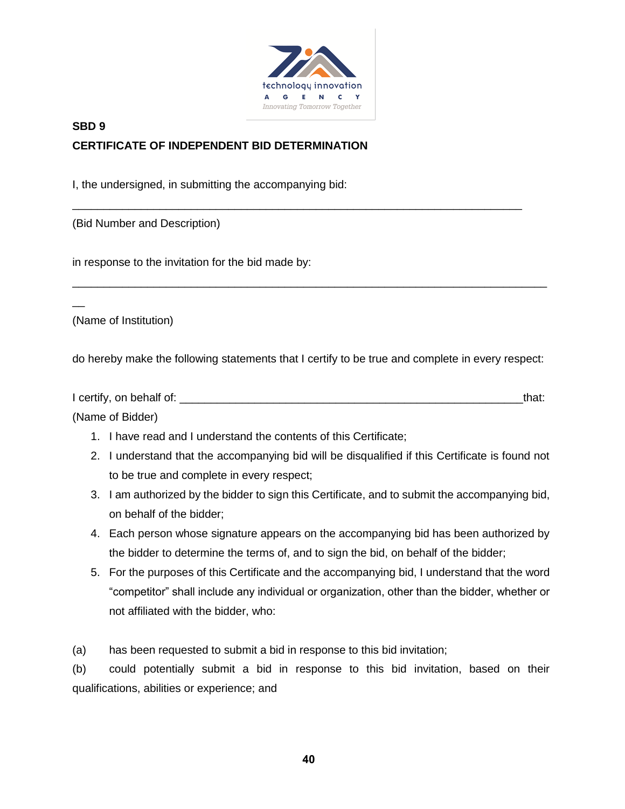

\_\_\_\_\_\_\_\_\_\_\_\_\_\_\_\_\_\_\_\_\_\_\_\_\_\_\_\_\_\_\_\_\_\_\_\_\_\_\_\_\_\_\_\_\_\_\_\_\_\_\_\_\_\_\_\_\_\_\_\_\_\_\_\_\_\_\_\_\_\_\_\_

# **SBD 9 CERTIFICATE OF INDEPENDENT BID DETERMINATION**

I, the undersigned, in submitting the accompanying bid:

(Bid Number and Description)

in response to the invitation for the bid made by:

(Name of Institution)

 $\overline{a}$ 

do hereby make the following statements that I certify to be true and complete in every respect:

\_\_\_\_\_\_\_\_\_\_\_\_\_\_\_\_\_\_\_\_\_\_\_\_\_\_\_\_\_\_\_\_\_\_\_\_\_\_\_\_\_\_\_\_\_\_\_\_\_\_\_\_\_\_\_\_\_\_\_\_\_\_\_\_\_\_\_\_\_\_\_\_\_\_\_\_

| I certify, on behalf of: | that: |
|--------------------------|-------|
| (Name of Bidder)         |       |

- 1. I have read and I understand the contents of this Certificate;
- 2. I understand that the accompanying bid will be disqualified if this Certificate is found not to be true and complete in every respect;
- 3. I am authorized by the bidder to sign this Certificate, and to submit the accompanying bid, on behalf of the bidder;
- 4. Each person whose signature appears on the accompanying bid has been authorized by the bidder to determine the terms of, and to sign the bid, on behalf of the bidder;
- 5. For the purposes of this Certificate and the accompanying bid, I understand that the word "competitor" shall include any individual or organization, other than the bidder, whether or not affiliated with the bidder, who:

(a) has been requested to submit a bid in response to this bid invitation;

(b) could potentially submit a bid in response to this bid invitation, based on their qualifications, abilities or experience; and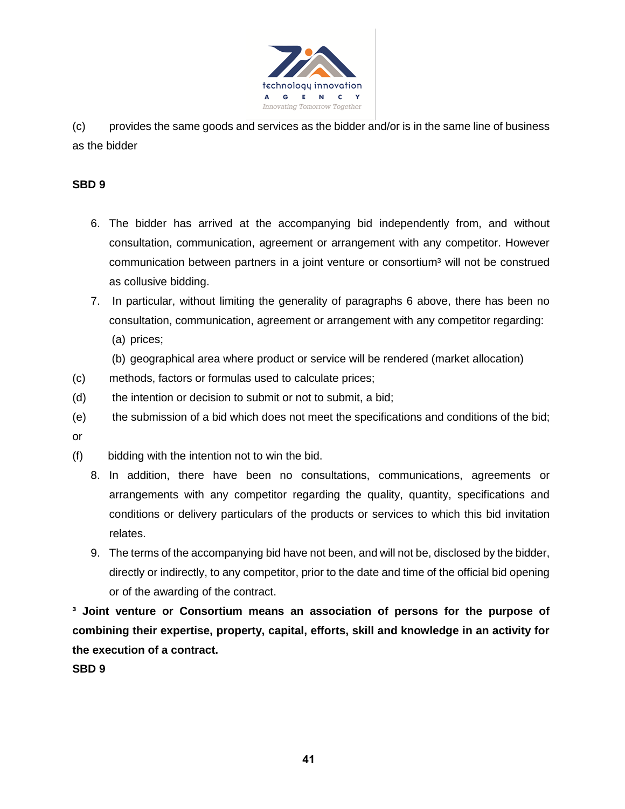

(c) provides the same goods and services as the bidder and/or is in the same line of business as the bidder

## **SBD 9**

- 6. The bidder has arrived at the accompanying bid independently from, and without consultation, communication, agreement or arrangement with any competitor. However communication between partners in a joint venture or consortium<sup>3</sup> will not be construed as collusive bidding.
- 7. In particular, without limiting the generality of paragraphs 6 above, there has been no consultation, communication, agreement or arrangement with any competitor regarding: (a) prices;
	- (b) geographical area where product or service will be rendered (market allocation)
- (c) methods, factors or formulas used to calculate prices;
- (d) the intention or decision to submit or not to submit, a bid;
- (e) the submission of a bid which does not meet the specifications and conditions of the bid;
- or
- (f) bidding with the intention not to win the bid.
	- 8. In addition, there have been no consultations, communications, agreements or arrangements with any competitor regarding the quality, quantity, specifications and conditions or delivery particulars of the products or services to which this bid invitation relates.
	- 9. The terms of the accompanying bid have not been, and will not be, disclosed by the bidder, directly or indirectly, to any competitor, prior to the date and time of the official bid opening or of the awarding of the contract.

**³ Joint venture or Consortium means an association of persons for the purpose of combining their expertise, property, capital, efforts, skill and knowledge in an activity for the execution of a contract.**

**SBD 9**